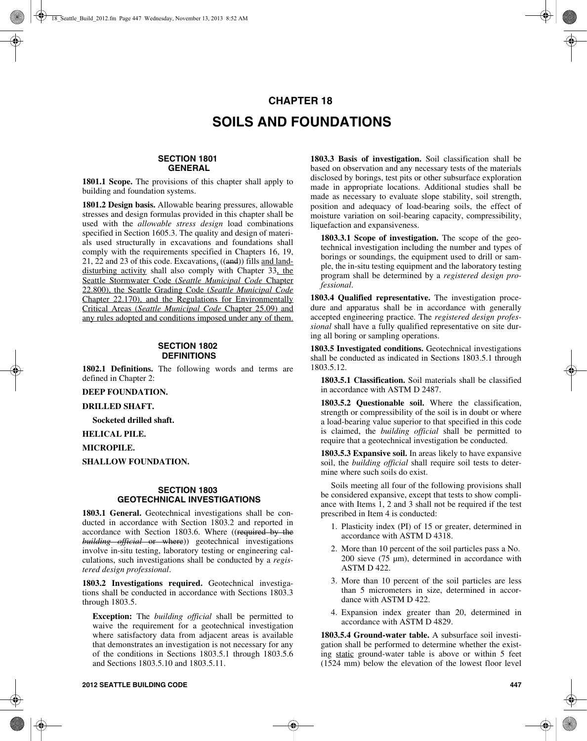# **CHAPTER 18 SOILS AND FOUNDATIONS**

## **SECTION 1801 GENERAL**

**1801.1 Scope.** The provisions of this chapter shall apply to building and foundation systems.

**1801.2 Design basis.** Allowable bearing pressures, allowable stresses and design formulas provided in this chapter shall be used with the *allowable stress design* load combinations specified in Section 1605.3. The quality and design of materials used structurally in excavations and foundations shall comply with the requirements specified in Chapters 16, 19, 21, 22 and 23 of this code. Excavations, ((and)) fills and landdisturbing activity shall also comply with Chapter 33, the Seattle Stormwater Code (*Seattle Municipal Code* Chapter 22.800), the Seattle Grading Code (*Seattle Municipal Code* Chapter 22.170), and the Regulations for Environmentally Critical Areas (*Seattle Municipal Code* Chapter 25.09) and any rules adopted and conditions imposed under any of them.

#### **SECTION 1802 DEFINITIONS**

**1802.1 Definitions.** The following words and terms are defined in Chapter 2:

**DEEP FOUNDATION.**

#### **DRILLED SHAFT.**

**Socketed drilled shaft.**

**HELICAL PILE.**

# **MICROPILE.**

**SHALLOW FOUNDATION.**

#### **SECTION 1803 GEOTECHNICAL INVESTIGATIONS**

**1803.1 General.** Geotechnical investigations shall be conducted in accordance with Section 1803.2 and reported in accordance with Section 1803.6. Where ((required by the *building official* or where)) geotechnical investigations involve in-situ testing, laboratory testing or engineering calculations, such investigations shall be conducted by a *registered design professional*.

**1803.2 Investigations required.** Geotechnical investigations shall be conducted in accordance with Sections 1803.3 through 1803.5.

**Exception:** The *building official* shall be permitted to waive the requirement for a geotechnical investigation where satisfactory data from adjacent areas is available that demonstrates an investigation is not necessary for any of the conditions in Sections 1803.5.1 through 1803.5.6 and Sections 1803.5.10 and 1803.5.11.

**1803.3 Basis of investigation.** Soil classification shall be based on observation and any necessary tests of the materials disclosed by borings, test pits or other subsurface exploration made in appropriate locations. Additional studies shall be made as necessary to evaluate slope stability, soil strength, position and adequacy of load-bearing soils, the effect of moisture variation on soil-bearing capacity, compressibility, liquefaction and expansiveness.

**1803.3.1 Scope of investigation.** The scope of the geotechnical investigation including the number and types of borings or soundings, the equipment used to drill or sample, the in-situ testing equipment and the laboratory testing program shall be determined by a *registered design professional*.

**1803.4 Qualified representative.** The investigation procedure and apparatus shall be in accordance with generally accepted engineering practice. The *registered design professional* shall have a fully qualified representative on site during all boring or sampling operations.

**1803.5 Investigated conditions.** Geotechnical investigations shall be conducted as indicated in Sections 1803.5.1 through 1803.5.12.

**1803.5.1 Classification.** Soil materials shall be classified in accordance with ASTM D 2487.

**1803.5.2 Questionable soil.** Where the classification, strength or compressibility of the soil is in doubt or where a load-bearing value superior to that specified in this code is claimed, the *building official* shall be permitted to require that a geotechnical investigation be conducted.

**1803.5.3 Expansive soil.** In areas likely to have expansive soil, the *building official* shall require soil tests to determine where such soils do exist.

Soils meeting all four of the following provisions shall be considered expansive, except that tests to show compliance with Items 1, 2 and 3 shall not be required if the test prescribed in Item 4 is conducted:

- 1. Plasticity index (PI) of 15 or greater, determined in accordance with ASTM D 4318.
- 2. More than 10 percent of the soil particles pass a No. 200 sieve (75 µm), determined in accordance with ASTM D 422.
- 3. More than 10 percent of the soil particles are less than 5 micrometers in size, determined in accordance with ASTM D 422.
- 4. Expansion index greater than 20, determined in accordance with ASTM D 4829.

**1803.5.4 Ground-water table.** A subsurface soil investigation shall be performed to determine whether the existing static ground-water table is above or within 5 feet (1524 mm) below the elevation of the lowest floor level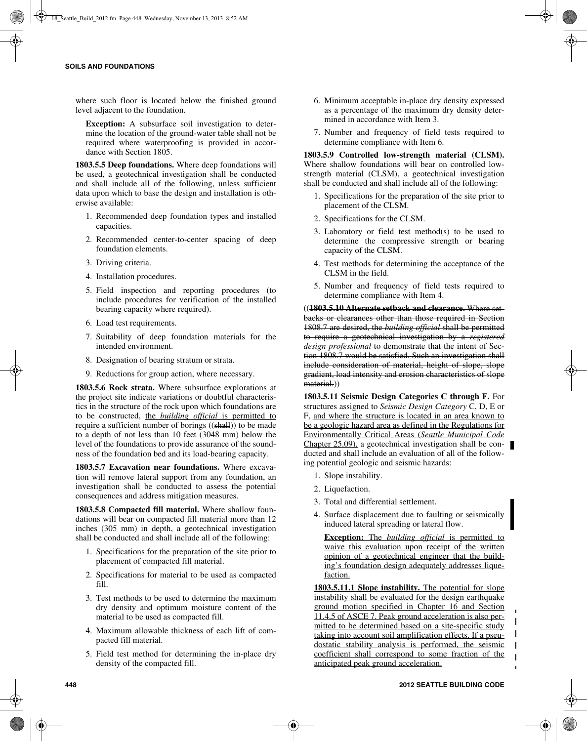where such floor is located below the finished ground level adjacent to the foundation.

**Exception:** A subsurface soil investigation to determine the location of the ground-water table shall not be required where waterproofing is provided in accordance with Section 1805.

**1803.5.5 Deep foundations.** Where deep foundations will be used, a geotechnical investigation shall be conducted and shall include all of the following, unless sufficient data upon which to base the design and installation is otherwise available:

- 1. Recommended deep foundation types and installed capacities.
- 2. Recommended center-to-center spacing of deep foundation elements.
- 3. Driving criteria.
- 4. Installation procedures.
- 5. Field inspection and reporting procedures (to include procedures for verification of the installed bearing capacity where required).
- 6. Load test requirements.
- 7. Suitability of deep foundation materials for the intended environment.
- 8. Designation of bearing stratum or strata.
- 9. Reductions for group action, where necessary.

**1803.5.6 Rock strata.** Where subsurface explorations at the project site indicate variations or doubtful characteristics in the structure of the rock upon which foundations are to be constructed, the *building official* is permitted to require a sufficient number of borings ((shall)) to be made to a depth of not less than 10 feet (3048 mm) below the level of the foundations to provide assurance of the soundness of the foundation bed and its load-bearing capacity.

**1803.5.7 Excavation near foundations.** Where excavation will remove lateral support from any foundation, an investigation shall be conducted to assess the potential consequences and address mitigation measures.

**1803.5.8 Compacted fill material.** Where shallow foundations will bear on compacted fill material more than 12 inches (305 mm) in depth, a geotechnical investigation shall be conducted and shall include all of the following:

- 1. Specifications for the preparation of the site prior to placement of compacted fill material.
- 2. Specifications for material to be used as compacted fill.
- 3. Test methods to be used to determine the maximum dry density and optimum moisture content of the material to be used as compacted fill.
- 4. Maximum allowable thickness of each lift of compacted fill material.
- 5. Field test method for determining the in-place dry density of the compacted fill.
- 6. Minimum acceptable in-place dry density expressed as a percentage of the maximum dry density determined in accordance with Item 3.
- 7. Number and frequency of field tests required to determine compliance with Item 6.

**1803.5.9 Controlled low-strength material (CLSM).** Where shallow foundations will bear on controlled lowstrength material (CLSM), a geotechnical investigation shall be conducted and shall include all of the following:

- 1. Specifications for the preparation of the site prior to placement of the CLSM.
- 2. Specifications for the CLSM.
- 3. Laboratory or field test method(s) to be used to determine the compressive strength or bearing capacity of the CLSM.
- 4. Test methods for determining the acceptance of the CLSM in the field.
- 5. Number and frequency of field tests required to determine compliance with Item 4.

((**1803.5.10 Alternate setback and clearance.** Where setbacks or clearances other than those required in Section 1808.7 are desired, the *building official* shall be permitted to require a geotechnical investigation by a *registered design professional* to demonstrate that the intent of Section 1808.7 would be satisfied. Such an investigation shall include consideration of material, height of slope, slope gradient, load intensity and erosion characteristics of slope material.))

**1803.5.11 Seismic Design Categories C through F. For** structures assigned to *Seismic Design Category* C, D, E or F, and where the structure is located in an area known to be a geologic hazard area as defined in the Regulations for Environmentally Critical Areas (*Seattle Municipal Code* Chapter 25.09), a geotechnical investigation shall be conducted and shall include an evaluation of all of the following potential geologic and seismic hazards:

- 1. Slope instability.
- 2. Liquefaction.
- 3. Total and differential settlement.
- 4. Surface displacement due to faulting or seismically induced lateral spreading or lateral flow.

**Exception:** The *building official* is permitted to waive this evaluation upon receipt of the written opinion of a geotechnical engineer that the building's foundation design adequately addresses liquefaction.

**1803.5.11.1 Slope instability.** The potential for slope instability shall be evaluated for the design earthquake ground motion specified in Chapter 16 and Section 11.4.5 of ASCE 7. Peak ground acceleration is also permitted to be determined based on a site-specific study  $\mathbf I$ taking into account soil amplification effects. If a pseudostatic stability analysis is performed, the seismic coefficient shall correspond to some fraction of the  $\overline{1}$ anticipated peak ground acceleration.

 $\blacksquare$  $\mathbf{I}$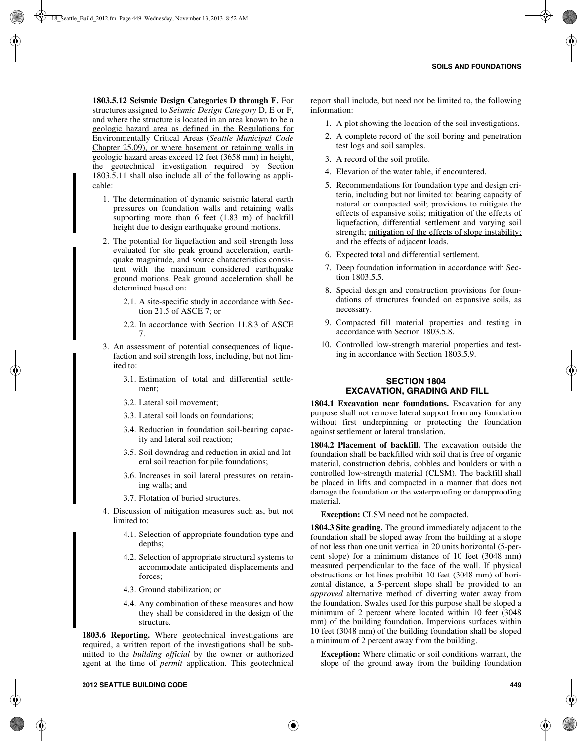**1803.5.12 Seismic Design Categories D through F.** For structures assigned to *Seismic Design Category* D, E or F, and where the structure is located in an area known to be a geologic hazard area as defined in the Regulations for Environmentally Critical Areas (*Seattle Municipal Code* Chapter 25.09), or where basement or retaining walls in geologic hazard areas exceed 12 feet (3658 mm) in height, the geotechnical investigation required by Section 1803.5.11 shall also include all of the following as applicable:

- 1. The determination of dynamic seismic lateral earth pressures on foundation walls and retaining walls supporting more than 6 feet (1.83 m) of backfill height due to design earthquake ground motions.
- 2. The potential for liquefaction and soil strength loss evaluated for site peak ground acceleration, earthquake magnitude, and source characteristics consistent with the maximum considered earthquake ground motions. Peak ground acceleration shall be determined based on:
	- 2.1. A site-specific study in accordance with Section 21.5 of ASCE 7; or
	- 2.2. In accordance with Section 11.8.3 of ASCE 7.
- 3. An assessment of potential consequences of liquefaction and soil strength loss, including, but not limited to:
	- 3.1. Estimation of total and differential settlement;
	- 3.2. Lateral soil movement;
	- 3.3. Lateral soil loads on foundations;
	- 3.4. Reduction in foundation soil-bearing capacity and lateral soil reaction;
	- 3.5. Soil downdrag and reduction in axial and lateral soil reaction for pile foundations;
	- 3.6. Increases in soil lateral pressures on retaining walls; and
	- 3.7. Flotation of buried structures.
- 4. Discussion of mitigation measures such as, but not limited to:
	- 4.1. Selection of appropriate foundation type and depths;
	- 4.2. Selection of appropriate structural systems to accommodate anticipated displacements and forces;
	- 4.3. Ground stabilization; or
	- 4.4. Any combination of these measures and how they shall be considered in the design of the structure.

**1803.6 Reporting.** Where geotechnical investigations are required, a written report of the investigations shall be submitted to the *building official* by the owner or authorized agent at the time of *permit* application. This geotechnical report shall include, but need not be limited to, the following information:

- 1. A plot showing the location of the soil investigations.
- 2. A complete record of the soil boring and penetration test logs and soil samples.
- 3. A record of the soil profile.
- 4. Elevation of the water table, if encountered.
- 5. Recommendations for foundation type and design criteria, including but not limited to: bearing capacity of natural or compacted soil; provisions to mitigate the effects of expansive soils; mitigation of the effects of liquefaction, differential settlement and varying soil strength; mitigation of the effects of slope instability; and the effects of adjacent loads.
- 6. Expected total and differential settlement.
- 7. Deep foundation information in accordance with Section 1803.5.5.
- 8. Special design and construction provisions for foundations of structures founded on expansive soils, as necessary.
- 9. Compacted fill material properties and testing in accordance with Section 1803.5.8.
- 10. Controlled low-strength material properties and testing in accordance with Section 1803.5.9.

#### **SECTION 1804 EXCAVATION, GRADING AND FILL**

**1804.1 Excavation near foundations.** Excavation for any purpose shall not remove lateral support from any foundation without first underpinning or protecting the foundation against settlement or lateral translation.

**1804.2 Placement of backfill.** The excavation outside the foundation shall be backfilled with soil that is free of organic material, construction debris, cobbles and boulders or with a controlled low-strength material (CLSM). The backfill shall be placed in lifts and compacted in a manner that does not damage the foundation or the waterproofing or dampproofing material.

**Exception:** CLSM need not be compacted.

**1804.3 Site grading.** The ground immediately adjacent to the foundation shall be sloped away from the building at a slope of not less than one unit vertical in 20 units horizontal (5-percent slope) for a minimum distance of 10 feet (3048 mm) measured perpendicular to the face of the wall. If physical obstructions or lot lines prohibit 10 feet (3048 mm) of horizontal distance, a 5-percent slope shall be provided to an *approved* alternative method of diverting water away from the foundation. Swales used for this purpose shall be sloped a minimum of 2 percent where located within 10 feet (3048 mm) of the building foundation. Impervious surfaces within 10 feet (3048 mm) of the building foundation shall be sloped a minimum of 2 percent away from the building.

**Exception:** Where climatic or soil conditions warrant, the slope of the ground away from the building foundation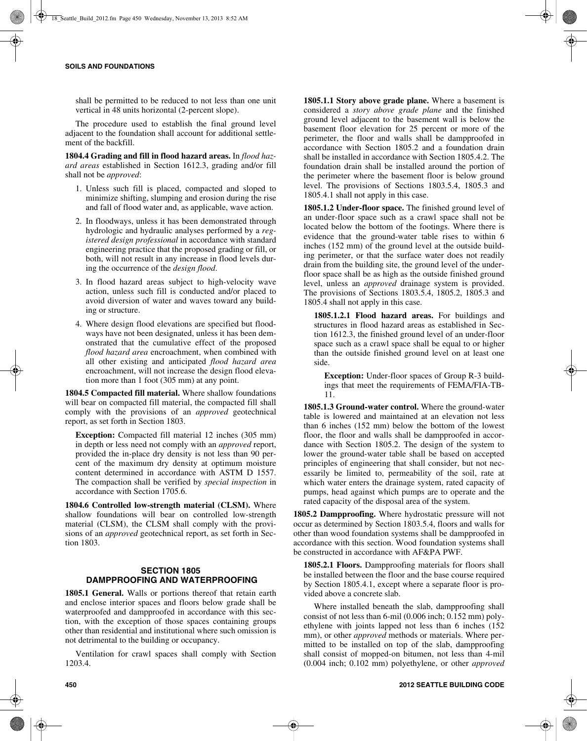shall be permitted to be reduced to not less than one unit vertical in 48 units horizontal (2-percent slope).

The procedure used to establish the final ground level adjacent to the foundation shall account for additional settlement of the backfill.

**1804.4 Grading and fill in flood hazard areas.** In *flood hazard areas* established in Section 1612.3, grading and/or fill shall not be *approved*:

- 1. Unless such fill is placed, compacted and sloped to minimize shifting, slumping and erosion during the rise and fall of flood water and, as applicable, wave action.
- 2. In floodways, unless it has been demonstrated through hydrologic and hydraulic analyses performed by a *registered design professional* in accordance with standard engineering practice that the proposed grading or fill, or both, will not result in any increase in flood levels during the occurrence of the *design flood*.
- 3. In flood hazard areas subject to high-velocity wave action, unless such fill is conducted and/or placed to avoid diversion of water and waves toward any building or structure.
- 4. Where design flood elevations are specified but floodways have not been designated, unless it has been demonstrated that the cumulative effect of the proposed *flood hazard area* encroachment, when combined with all other existing and anticipated *flood hazard area* encroachment, will not increase the design flood elevation more than 1 foot (305 mm) at any point.

**1804.5 Compacted fill material.** Where shallow foundations will bear on compacted fill material, the compacted fill shall comply with the provisions of an *approved* geotechnical report, as set forth in Section 1803.

**Exception:** Compacted fill material 12 inches (305 mm) in depth or less need not comply with an *approved* report, provided the in-place dry density is not less than 90 percent of the maximum dry density at optimum moisture content determined in accordance with ASTM D 1557. The compaction shall be verified by *special inspection* in accordance with Section 1705.6.

**1804.6 Controlled low-strength material (CLSM).** Where shallow foundations will bear on controlled low-strength material (CLSM), the CLSM shall comply with the provisions of an *approved* geotechnical report, as set forth in Section 1803.

## **SECTION 1805 DAMPPROOFING AND WATERPROOFING**

**1805.1 General.** Walls or portions thereof that retain earth and enclose interior spaces and floors below grade shall be waterproofed and dampproofed in accordance with this section, with the exception of those spaces containing groups other than residential and institutional where such omission is not detrimental to the building or occupancy.

Ventilation for crawl spaces shall comply with Section 1203.4.

**1805.1.1 Story above grade plane.** Where a basement is considered a *story above grade plane* and the finished ground level adjacent to the basement wall is below the basement floor elevation for 25 percent or more of the perimeter, the floor and walls shall be dampproofed in accordance with Section 1805.2 and a foundation drain shall be installed in accordance with Section 1805.4.2. The foundation drain shall be installed around the portion of the perimeter where the basement floor is below ground level. The provisions of Sections 1803.5.4, 1805.3 and 1805.4.1 shall not apply in this case.

**1805.1.2 Under-floor space.** The finished ground level of an under-floor space such as a crawl space shall not be located below the bottom of the footings. Where there is evidence that the ground-water table rises to within 6 inches (152 mm) of the ground level at the outside building perimeter, or that the surface water does not readily drain from the building site, the ground level of the underfloor space shall be as high as the outside finished ground level, unless an *approved* drainage system is provided. The provisions of Sections 1803.5.4, 1805.2, 1805.3 and 1805.4 shall not apply in this case.

**1805.1.2.1 Flood hazard areas.** For buildings and structures in flood hazard areas as established in Section 1612.3, the finished ground level of an under-floor space such as a crawl space shall be equal to or higher than the outside finished ground level on at least one side.

**Exception:** Under-floor spaces of Group R-3 buildings that meet the requirements of FEMA/FIA-TB-11.

**1805.1.3 Ground-water control.** Where the ground-water table is lowered and maintained at an elevation not less than 6 inches (152 mm) below the bottom of the lowest floor, the floor and walls shall be dampproofed in accordance with Section 1805.2. The design of the system to lower the ground-water table shall be based on accepted principles of engineering that shall consider, but not necessarily be limited to, permeability of the soil, rate at which water enters the drainage system, rated capacity of pumps, head against which pumps are to operate and the rated capacity of the disposal area of the system.

**1805.2 Dampproofing.** Where hydrostatic pressure will not occur as determined by Section 1803.5.4, floors and walls for other than wood foundation systems shall be dampproofed in accordance with this section. Wood foundation systems shall be constructed in accordance with AF&PA PWF.

**1805.2.1 Floors.** Dampproofing materials for floors shall be installed between the floor and the base course required by Section 1805.4.1, except where a separate floor is provided above a concrete slab.

Where installed beneath the slab, dampproofing shall consist of not less than 6-mil (0.006 inch; 0.152 mm) polyethylene with joints lapped not less than 6 inches (152 mm), or other *approved* methods or materials. Where permitted to be installed on top of the slab, dampproofing shall consist of mopped-on bitumen, not less than 4-mil (0.004 inch; 0.102 mm) polyethylene, or other *approved*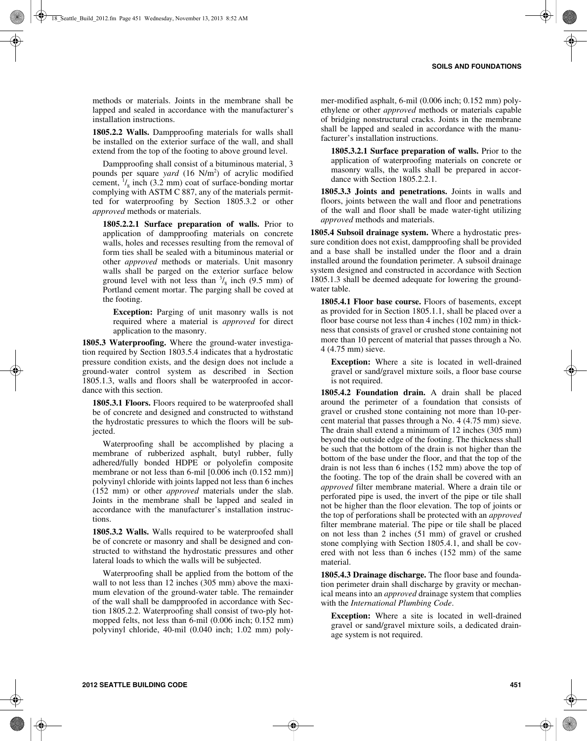methods or materials. Joints in the membrane shall be lapped and sealed in accordance with the manufacturer's installation instructions.

**1805.2.2 Walls.** Dampproofing materials for walls shall be installed on the exterior surface of the wall, and shall extend from the top of the footing to above ground level.

Dampproofing shall consist of a bituminous material, 3 pounds per square *yard* (16 N/m<sup>2</sup>) of acrylic modified cement,  $\frac{1}{8}$  inch (3.2 mm) coat of surface-bonding mortar complying with ASTM C 887, any of the materials permitted for waterproofing by Section 1805.3.2 or other *approved* methods or materials.

**1805.2.2.1 Surface preparation of walls.** Prior to application of dampproofing materials on concrete walls, holes and recesses resulting from the removal of form ties shall be sealed with a bituminous material or other *approved* methods or materials. Unit masonry walls shall be parged on the exterior surface below ground level with not less than  $\frac{3}{8}$  inch (9.5 mm) of Portland cement mortar. The parging shall be coved at the footing.

**Exception:** Parging of unit masonry walls is not required where a material is *approved* for direct application to the masonry.

**1805.3 Waterproofing.** Where the ground-water investigation required by Section 1803.5.4 indicates that a hydrostatic pressure condition exists, and the design does not include a ground-water control system as described in Section 1805.1.3, walls and floors shall be waterproofed in accordance with this section.

**1805.3.1 Floors.** Floors required to be waterproofed shall be of concrete and designed and constructed to withstand the hydrostatic pressures to which the floors will be subjected.

Waterproofing shall be accomplished by placing a membrane of rubberized asphalt, butyl rubber, fully adhered/fully bonded HDPE or polyolefin composite membrane or not less than 6-mil [0.006 inch (0.152 mm)] polyvinyl chloride with joints lapped not less than 6 inches (152 mm) or other *approved* materials under the slab. Joints in the membrane shall be lapped and sealed in accordance with the manufacturer's installation instructions.

**1805.3.2 Walls.** Walls required to be waterproofed shall be of concrete or masonry and shall be designed and constructed to withstand the hydrostatic pressures and other lateral loads to which the walls will be subjected.

Waterproofing shall be applied from the bottom of the wall to not less than 12 inches (305 mm) above the maximum elevation of the ground-water table. The remainder of the wall shall be dampproofed in accordance with Section 1805.2.2. Waterproofing shall consist of two-ply hotmopped felts, not less than 6-mil (0.006 inch; 0.152 mm) polyvinyl chloride, 40-mil (0.040 inch; 1.02 mm) poly-

mer-modified asphalt, 6-mil (0.006 inch; 0.152 mm) polyethylene or other *approved* methods or materials capable of bridging nonstructural cracks. Joints in the membrane shall be lapped and sealed in accordance with the manufacturer's installation instructions.

**1805.3.2.1 Surface preparation of walls.** Prior to the application of waterproofing materials on concrete or masonry walls, the walls shall be prepared in accordance with Section 1805.2.2.1.

**1805.3.3 Joints and penetrations.** Joints in walls and floors, joints between the wall and floor and penetrations of the wall and floor shall be made water-tight utilizing *approved* methods and materials.

**1805.4 Subsoil drainage system.** Where a hydrostatic pressure condition does not exist, dampproofing shall be provided and a base shall be installed under the floor and a drain installed around the foundation perimeter. A subsoil drainage system designed and constructed in accordance with Section 1805.1.3 shall be deemed adequate for lowering the groundwater table.

**1805.4.1 Floor base course.** Floors of basements, except as provided for in Section 1805.1.1, shall be placed over a floor base course not less than 4 inches (102 mm) in thickness that consists of gravel or crushed stone containing not more than 10 percent of material that passes through a No. 4 (4.75 mm) sieve.

**Exception:** Where a site is located in well-drained gravel or sand/gravel mixture soils, a floor base course is not required.

**1805.4.2 Foundation drain.** A drain shall be placed around the perimeter of a foundation that consists of gravel or crushed stone containing not more than 10-percent material that passes through a No. 4 (4.75 mm) sieve. The drain shall extend a minimum of 12 inches (305 mm) beyond the outside edge of the footing. The thickness shall be such that the bottom of the drain is not higher than the bottom of the base under the floor, and that the top of the drain is not less than 6 inches (152 mm) above the top of the footing. The top of the drain shall be covered with an *approved* filter membrane material. Where a drain tile or perforated pipe is used, the invert of the pipe or tile shall not be higher than the floor elevation. The top of joints or the top of perforations shall be protected with an *approved* filter membrane material. The pipe or tile shall be placed on not less than 2 inches (51 mm) of gravel or crushed stone complying with Section 1805.4.1, and shall be covered with not less than 6 inches (152 mm) of the same material.

**1805.4.3 Drainage discharge.** The floor base and foundation perimeter drain shall discharge by gravity or mechanical means into an *approved* drainage system that complies with the *International Plumbing Code*.

**Exception:** Where a site is located in well-drained gravel or sand/gravel mixture soils, a dedicated drainage system is not required.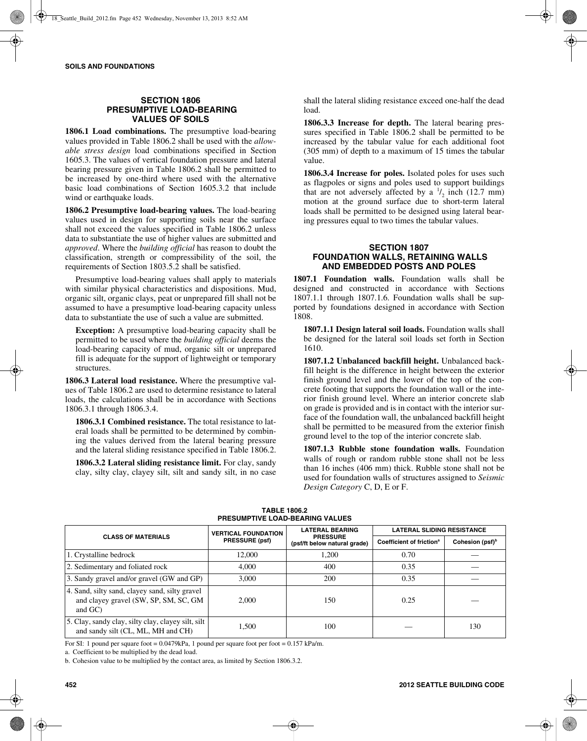## **SECTION 1806 PRESUMPTIVE LOAD-BEARING VALUES OF SOILS**

**1806.1 Load combinations.** The presumptive load-bearing values provided in Table 1806.2 shall be used with the *allowable stress design* load combinations specified in Section 1605.3. The values of vertical foundation pressure and lateral bearing pressure given in Table 1806.2 shall be permitted to be increased by one-third where used with the alternative basic load combinations of Section 1605.3.2 that include wind or earthquake loads.

**1806.2 Presumptive load-bearing values.** The load-bearing values used in design for supporting soils near the surface shall not exceed the values specified in Table 1806.2 unless data to substantiate the use of higher values are submitted and *approved*. Where the *building official* has reason to doubt the classification, strength or compressibility of the soil, the requirements of Section 1803.5.2 shall be satisfied.

Presumptive load-bearing values shall apply to materials with similar physical characteristics and dispositions. Mud, organic silt, organic clays, peat or unprepared fill shall not be assumed to have a presumptive load-bearing capacity unless data to substantiate the use of such a value are submitted.

**Exception:** A presumptive load-bearing capacity shall be permitted to be used where the *building official* deems the load-bearing capacity of mud, organic silt or unprepared fill is adequate for the support of lightweight or temporary structures.

**1806.3 Lateral load resistance.** Where the presumptive values of Table 1806.2 are used to determine resistance to lateral loads, the calculations shall be in accordance with Sections 1806.3.1 through 1806.3.4.

**1806.3.1 Combined resistance.** The total resistance to lateral loads shall be permitted to be determined by combining the values derived from the lateral bearing pressure and the lateral sliding resistance specified in Table 1806.2.

**1806.3.2 Lateral sliding resistance limit.** For clay, sandy clay, silty clay, clayey silt, silt and sandy silt, in no case shall the lateral sliding resistance exceed one-half the dead load.

**1806.3.3 Increase for depth.** The lateral bearing pressures specified in Table 1806.2 shall be permitted to be increased by the tabular value for each additional foot (305 mm) of depth to a maximum of 15 times the tabular value.

**1806.3.4 Increase for poles.** Isolated poles for uses such as flagpoles or signs and poles used to support buildings that are not adversely affected by a  $\frac{1}{2}$  inch (12.7 mm) motion at the ground surface due to short-term lateral loads shall be permitted to be designed using lateral bearing pressures equal to two times the tabular values.

#### **SECTION 1807 FOUNDATION WALLS, RETAINING WALLS AND EMBEDDED POSTS AND POLES**

**1807.1 Foundation walls.** Foundation walls shall be designed and constructed in accordance with Sections 1807.1.1 through 1807.1.6. Foundation walls shall be supported by foundations designed in accordance with Section 1808.

**1807.1.1 Design lateral soil loads.** Foundation walls shall be designed for the lateral soil loads set forth in Section 1610.

1807.1.2 Unbalanced backfill height. Unbalanced backfill height is the difference in height between the exterior finish ground level and the lower of the top of the concrete footing that supports the foundation wall or the interior finish ground level. Where an interior concrete slab on grade is provided and is in contact with the interior surface of the foundation wall, the unbalanced backfill height shall be permitted to be measured from the exterior finish ground level to the top of the interior concrete slab.

**1807.1.3 Rubble stone foundation walls.** Foundation walls of rough or random rubble stone shall not be less than 16 inches (406 mm) thick. Rubble stone shall not be used for foundation walls of structures assigned to *Seismic Design Category* C, D, E or F.

|                                                                                                       | <b>VERTICAL FOUNDATION</b> | <b>LATERAL BEARING</b>                          | <b>LATERAL SLIDING RESISTANCE</b>    |                             |  |
|-------------------------------------------------------------------------------------------------------|----------------------------|-------------------------------------------------|--------------------------------------|-----------------------------|--|
| <b>CLASS OF MATERIALS</b>                                                                             | <b>PRESSURE (psf)</b>      | <b>PRESSURE</b><br>(psf/ft below natural grade) | Coefficient of friction <sup>a</sup> | Cohesion (psf) <sup>b</sup> |  |
| 1. Crystalline bedrock                                                                                | 12,000                     | 1.200                                           | 0.70                                 |                             |  |
| 2. Sedimentary and foliated rock                                                                      | 4,000                      | 400                                             | 0.35                                 |                             |  |
| 3. Sandy gravel and/or gravel (GW and GP)                                                             | 3,000                      | 200                                             | 0.35                                 |                             |  |
| 4. Sand, silty sand, clayey sand, silty gravel<br>and clayey gravel (SW, SP, SM, SC, GM<br>and $GC$ ) | 2.000                      | 150                                             | 0.25                                 |                             |  |
| 5. Clay, sandy clay, silty clay, clayey silt, silt<br>and sandy silt (CL, ML, MH and CH)              | 1,500                      | 100                                             |                                      | 130                         |  |

**TABLE 1806.2 PRESUMPTIVE LOAD-BEARING VALUES**

For SI: 1 pound per square foot =  $0.0479kPa$ , 1 pound per square foot per foot =  $0.157 kPa/m$ .

a. Coefficient to be multiplied by the dead load.

b. Cohesion value to be multiplied by the contact area, as limited by Section 1806.3.2.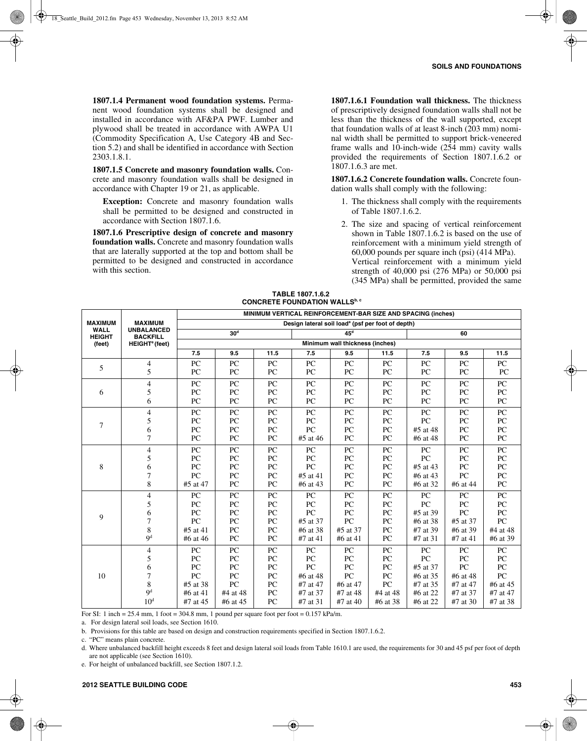**1807.1.4 Permanent wood foundation systems.** Permanent wood foundation systems shall be designed and installed in accordance with AF&PA PWF. Lumber and plywood shall be treated in accordance with AWPA U1 (Commodity Specification A, Use Category 4B and Section 5.2) and shall be identified in accordance with Section 2303.1.8.1.

**1807.1.5 Concrete and masonry foundation walls.** Concrete and masonry foundation walls shall be designed in accordance with Chapter 19 or 21, as applicable.

**Exception:** Concrete and masonry foundation walls shall be permitted to be designed and constructed in accordance with Section 1807.1.6.

**1807.1.6 Prescriptive design of concrete and masonry foundation walls.** Concrete and masonry foundation walls that are laterally supported at the top and bottom shall be permitted to be designed and constructed in accordance with this section.

**1807.1.6.1 Foundation wall thickness.** The thickness of prescriptively designed foundation walls shall not be less than the thickness of the wall supported, except that foundation walls of at least 8-inch (203 mm) nominal width shall be permitted to support brick-veneered frame walls and 10-inch-wide (254 mm) cavity walls provided the requirements of Section 1807.1.6.2 or 1807.1.6.3 are met.

**1807.1.6.2 Concrete foundation walls.** Concrete foundation walls shall comply with the following:

- 1. The thickness shall comply with the requirements of Table 1807.1.6.2.
- 2. The size and spacing of vertical reinforcement shown in Table 1807.1.6.2 is based on the use of reinforcement with a minimum yield strength of 60,000 pounds per square inch (psi) (414 MPa). Vertical reinforcement with a minimum yield strength of 40,000 psi (276 MPa) or 50,000 psi (345 MPa) shall be permitted, provided the same

|                                                                      |                                                              |                  |                                                               |      | CONCRETE FOUNDATION WALLS |                                 |                  |                  |                  |                  |
|----------------------------------------------------------------------|--------------------------------------------------------------|------------------|---------------------------------------------------------------|------|---------------------------|---------------------------------|------------------|------------------|------------------|------------------|
|                                                                      | MINIMUM VERTICAL REINFORCEMENT-BAR SIZE AND SPACING (inches) |                  |                                                               |      |                           |                                 |                  |                  |                  |                  |
| <b>MAXIMUM</b>                                                       | <b>MAXIMUM</b>                                               |                  | Design lateral soil load <sup>a</sup> (psf per foot of depth) |      |                           |                                 |                  |                  |                  |                  |
| <b>WALL</b><br><b>UNBALANCED</b><br><b>HEIGHT</b><br><b>BACKFILL</b> |                                                              |                  | 30 <sup>d</sup>                                               |      |                           | 45 <sup>d</sup>                 |                  |                  | 60               |                  |
| (feet)                                                               | HEIGHT <sup>e</sup> (feet)                                   |                  |                                                               |      |                           | Minimum wall thickness (inches) |                  |                  |                  |                  |
|                                                                      |                                                              | 7.5              | 9.5                                                           | 11.5 | 7.5                       | 9.5                             | 11.5             | 7.5              | 9.5              | 11.5             |
|                                                                      | $\overline{4}$                                               | PC               | PC                                                            | PC   | PC                        | PC                              | PC               | PC               | PC               | PC               |
| 5                                                                    | 5                                                            | PC               | PC                                                            | PC   | PC                        | PC                              | PC               | PC               | PC               | PC               |
|                                                                      | 4                                                            | ${\rm P}{\bf C}$ | PC                                                            | PC   | PC                        | ${\rm P}{\bf C}$                | PC               | PC               | ${\sf PC}$       | ${\rm P}{\bf C}$ |
| 6                                                                    | 5                                                            | ${\rm P}{\bf C}$ | ${\rm P}{\bf C}$                                              | PC   | PC                        | PC                              | PC               | PC               | ${\rm P}{\bf C}$ | ${\rm P}{\bf C}$ |
|                                                                      | 6                                                            | PC               | PC                                                            | PC   | PC                        | PC                              | PC               | PC               | PC               | PC               |
|                                                                      | 4                                                            | ${\rm P}{\bf C}$ | ${\rm P}{\bf C}$                                              | PC   | PC                        | ${\rm P}{\bf C}$                | ${\rm P}{\bf C}$ | ${\rm P}{\bf C}$ | PC               | ${\rm P}{\bf C}$ |
| $\tau$                                                               | 5                                                            | ${\rm P}{\bf C}$ | ${\rm P}{\bf C}$                                              | PC   | PC                        | ${\rm P}{\bf C}$                | PC               | PC               | PC               | ${\rm P}{\bf C}$ |
|                                                                      | 6                                                            | PC               | PC                                                            | PC   | PC                        | PC                              | PC               | #5 at 48         | PC               | PC               |
|                                                                      | 7                                                            | PC               | PC                                                            | PC   | #5 at 46                  | PC                              | PC               | #6 at 48         | PC               | PC               |
|                                                                      | 4                                                            | <b>PC</b>        | PC                                                            | PC   | PC                        | PC                              | PC               | PC               | PC               | PC               |
|                                                                      | 5                                                            | PC               | PC                                                            | PC   | PC                        | PC                              | PC               | PC               | PC               | PC               |
| $\,$ 8 $\,$                                                          | 6                                                            | PC               | PC                                                            | PC   | PC                        | PC                              | PC               | #5 at 43         | PC               | ${\rm P}{\bf C}$ |
|                                                                      | 7                                                            | PC               | ${\rm P}{\bf C}$                                              | PC   | #5 at 41                  | PC                              | PC               | #6 at 43         | PC               | ${\rm P}{\bf C}$ |
|                                                                      | 8                                                            | #5 at 47         | ${\rm P}{\bf C}$                                              | PC   | #6 at 43                  | PC                              | PC               | #6 at 32         | #6 at 44         | ${\rm P}{\bf C}$ |
|                                                                      | 4                                                            | PC               | PC                                                            | PC   | PC                        | PC                              | PC               | PC               | PC               | PC               |
|                                                                      | 5                                                            | PC               | PC                                                            | PC   | PC                        | PC                              | PC               | PC               | PC               | ${\rm P}{\bf C}$ |
| 9                                                                    | 6                                                            | PC               | PC                                                            | PC   | PC                        | PC                              | PC               | #5 at 39         | PC               | ${\rm P}{\bf C}$ |
|                                                                      | 7                                                            | PC               | ${\rm P}{\bf C}$                                              | PC   | #5 at 37                  | PC                              | PC               | #6 at 38         | #5 at 37         | ${\rm P}{\bf C}$ |
|                                                                      | 8                                                            | $#5$ at 41       | PC                                                            | PC   | #6 at 38                  | #5 at 37                        | PC               | #7 at 39         | #6 at 39         | #4 at 48         |
|                                                                      | 9 <sup>d</sup>                                               | #6 at 46         | PC                                                            | PC   | #7 at 41                  | #6 at 41                        | PC               | #7 at 31         | #7 at 41         | #6 at 39         |
|                                                                      | 4                                                            | PC               | ${\rm P}{\bf C}$                                              | PC   | PC                        | PC                              | ${\rm P}{\bf C}$ | PC               | ${\rm P}{\bf C}$ | ${\rm P}{\bf C}$ |
|                                                                      | 5                                                            | ${\rm P}{\bf C}$ | ${\rm P}{\bf C}$                                              | PC   | PC                        | ${\rm P}{\bf C}$                | ${\rm P}{\bf C}$ | PC               | ${\rm P}{\bf C}$ | ${\rm P}{\bf C}$ |
|                                                                      | 6                                                            | PC               | PC                                                            | PC   | PC                        | PC                              | PC               | #5 at 37         | PC               | PC               |
| 10                                                                   | 7                                                            | PC               | PC                                                            | PC   | #6 at 48                  | PC                              | PC               | #6 at 35         | #6 at 48         | PC               |
|                                                                      | 8                                                            | #5 at 38         | PC                                                            | PC   | #7 at 47                  | #6 at 47                        | PC               | #7 at 35         | #7 at 47         | #6 at 45         |
|                                                                      | 9 <sup>d</sup>                                               | #6 at 41         | #4 at 48                                                      | PC   | #7 at 37                  | #7 at 48                        | #4 at 48         | #6 at 22         | #7 at 37         | #7 at 47         |
|                                                                      | 10 <sup>d</sup>                                              | #7 at 45         | #6 at 45                                                      | PC   | #7 at 31                  | #7 at 40                        | #6 at 38         | #6 at 22         | #7 at 30         | #7 at 38         |

#### **TABLE 1807.1.6.2 CONCRETE FOUNDATION WALLS**

For SI: 1 inch = 25.4 mm, 1 foot = 304.8 mm, 1 pound per square foot per foot =  $0.157$  kPa/m.

a. For design lateral soil loads, see Section 1610.

b. Provisions for this table are based on design and construction requirements specified in Section 1807.1.6.2.

c. "PC" means plain concrete.

d. Where unbalanced backfill height exceeds 8 feet and design lateral soil loads from Table 1610.1 are used, the requirements for 30 and 45 psf per foot of depth are not applicable (see Section 1610).

e. For height of unbalanced backfill, see Section 1807.1.2.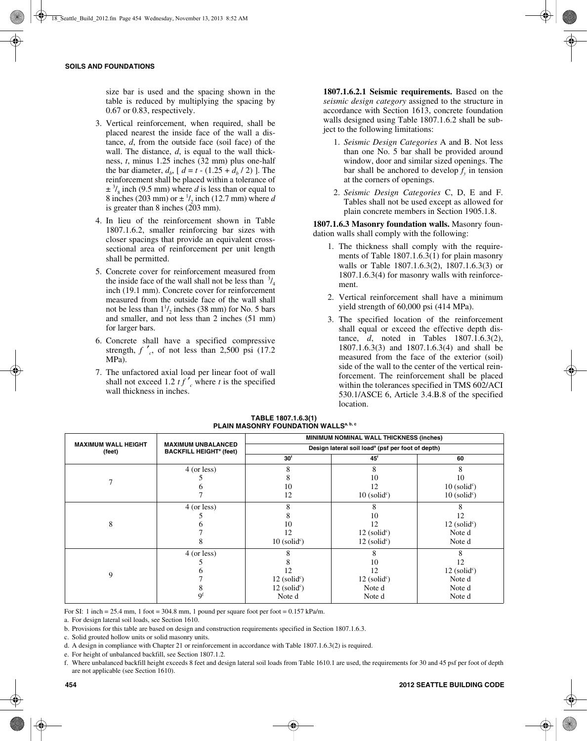size bar is used and the spacing shown in the table is reduced by multiplying the spacing by 0.67 or 0.83, respectively.

- 3. Vertical reinforcement, when required, shall be placed nearest the inside face of the wall a distance, *d*, from the outside face (soil face) of the wall. The distance, *d*, is equal to the wall thickness, *t*, minus 1.25 inches (32 mm) plus one-half the bar diameter,  $d_b$ ,  $d = t - (1.25 + d_b / 2)$ . The reinforcement shall be placed within a tolerance of  $\pm$ <sup>3</sup>/<sub>8</sub> inch (9.5 mm) where *d* is less than or equal to 8 inches (203 mm) or  $\pm \frac{1}{2}$  inch (12.7 mm) where *d* is greater than 8 inches (203 mm).
- 4. In lieu of the reinforcement shown in Table 1807.1.6.2, smaller reinforcing bar sizes with closer spacings that provide an equivalent crosssectional area of reinforcement per unit length shall be permitted.
- 5. Concrete cover for reinforcement measured from the inside face of the wall shall not be less than  $\frac{3}{4}$ inch (19.1 mm). Concrete cover for reinforcement measured from the outside face of the wall shall not be less than  $1\frac{1}{2}$  inches (38 mm) for No. 5 bars and smaller, and not less than 2 inches (51 mm) for larger bars.
- 6. Concrete shall have a specified compressive strength,  $f'$ , of not less than 2,500 psi (17.2) MPa).
- 7. The unfactored axial load per linear foot of wall shall not exceed 1.2  $tf'$ <sub>c</sub> where *t* is the specified wall thickness in inches.

**1807.1.6.2.1 Seismic requirements.** Based on the *seismic design category* assigned to the structure in accordance with Section 1613, concrete foundation walls designed using Table 1807.1.6.2 shall be subject to the following limitations:

- 1. *Seismic Design Categories* A and B. Not less than one No. 5 bar shall be provided around window, door and similar sized openings. The bar shall be anchored to develop  $f_n$  in tension at the corners of openings.
- 2. *Seismic Design Categories* C, D, E and F. Tables shall not be used except as allowed for plain concrete members in Section 1905.1.8.

**1807.1.6.3 Masonry foundation walls.** Masonry foundation walls shall comply with the following:

- 1. The thickness shall comply with the requirements of Table 1807.1.6.3(1) for plain masonry walls or Table 1807.1.6.3(2), 1807.1.6.3(3) or 1807.1.6.3(4) for masonry walls with reinforcement.
- 2. Vertical reinforcement shall have a minimum yield strength of 60,000 psi (414 MPa).
- 3. The specified location of the reinforcement shall equal or exceed the effective depth distance, *d*, noted in Tables 1807.1.6.3(2), 1807.1.6.3(3) and 1807.1.6.3(4) and shall be measured from the face of the exterior (soil) side of the wall to the center of the vertical reinforcement. The reinforcement shall be placed within the tolerances specified in TMS 602/ACI 530.1/ASCE 6, Article 3.4.B.8 of the specified location.

|                                      |                                                                        | MINIMUM NOMINAL WALL THICKNESS (inches)                       |                            |                            |  |
|--------------------------------------|------------------------------------------------------------------------|---------------------------------------------------------------|----------------------------|----------------------------|--|
| <b>MAXIMUM WALL HEIGHT</b><br>(feet) | <b>MAXIMUM UNBALANCED</b><br><b>BACKFILL HEIGHT<sup>e</sup></b> (feet) | Design lateral soil load <sup>a</sup> (psf per foot of depth) |                            |                            |  |
|                                      |                                                                        | 30 <sup>t</sup>                                               | $45^{\circ}$               | 60                         |  |
|                                      | 4 (or less)                                                            | 8                                                             | 8                          | 8                          |  |
|                                      |                                                                        | 8                                                             | 10                         | 10                         |  |
|                                      |                                                                        | 10                                                            | 12                         | $10$ (solid <sup>c</sup> ) |  |
|                                      |                                                                        | 12                                                            | $10$ (solid <sup>c</sup> ) | $10$ (solid <sup>c</sup> ) |  |
|                                      | 4 (or less)                                                            | 8                                                             | 8                          |                            |  |
| 8                                    |                                                                        | 8                                                             | 10                         | 12                         |  |
|                                      |                                                                        | 10                                                            | 12                         | $12$ (solid <sup>c</sup> ) |  |
|                                      |                                                                        | 12                                                            | $12$ (solid <sup>c</sup> ) | Note d                     |  |
|                                      | ŏ                                                                      | $10$ (solid <sup>c</sup> )                                    | $12$ (solid <sup>c</sup> ) | Note d                     |  |
|                                      | 4 (or less)                                                            |                                                               |                            |                            |  |
| 9                                    |                                                                        |                                                               | 10                         | 12                         |  |
|                                      |                                                                        | 12                                                            | 12                         | $12$ (solid <sup>c</sup> ) |  |
|                                      |                                                                        | $12$ (solid <sup>c</sup> )                                    | $12$ (solid <sup>c</sup> ) | Note d                     |  |
|                                      |                                                                        | $12$ (solid <sup>c</sup> )                                    | Note d                     | Note d                     |  |
|                                      | $\mathbf{Q}^{\mathrm{f}}$                                              | Note d                                                        | Note d                     | Note d                     |  |

**TABLE 1807.1.6.3(1) PLAIN MASONRY FOUNDATION WALLS<sup>a, b, c</sup>** 

For SI: 1 inch = 25.4 mm, 1 foot = 304.8 mm, 1 pound per square foot per foot =  $0.157$  kPa/m.

a. For design lateral soil loads, see Section 1610.

b. Provisions for this table are based on design and construction requirements specified in Section 1807.1.6.3.

c. Solid grouted hollow units or solid masonry units.

d. A design in compliance with Chapter 21 or reinforcement in accordance with Table 1807.1.6.3(2) is required.

e. For height of unbalanced backfill, see Section 1807.1.2.

f. Where unbalanced backfill height exceeds 8 feet and design lateral soil loads from Table 1610.1 are used, the requirements for 30 and 45 psf per foot of depth are not applicable (see Section 1610).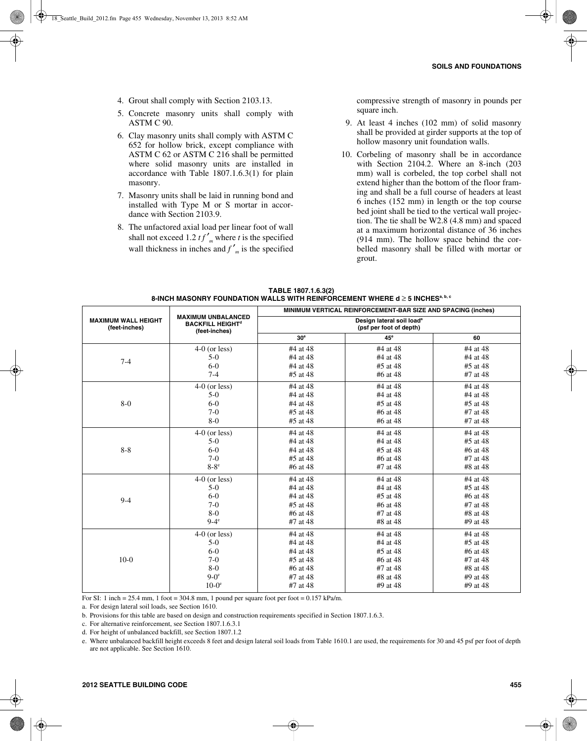- 4. Grout shall comply with Section 2103.13.
- 5. Concrete masonry units shall comply with ASTM C 90.
- 6. Clay masonry units shall comply with ASTM C 652 for hollow brick, except compliance with ASTM C 62 or ASTM C 216 shall be permitted where solid masonry units are installed in accordance with Table 1807.1.6.3(1) for plain masonry.
- 7. Masonry units shall be laid in running bond and installed with Type M or S mortar in accordance with Section 2103.9.
- 8. The unfactored axial load per linear foot of wall shall not exceed 1.2  $tf'_m$  where *t* is the specified wall thickness in inches and  $f'$ <sup>n</sup> is the specified

compressive strength of masonry in pounds per square inch.

- 9. At least 4 inches (102 mm) of solid masonry shall be provided at girder supports at the top of hollow masonry unit foundation walls.
- 10. Corbeling of masonry shall be in accordance with Section 2104.2. Where an 8-inch (203 mm) wall is corbeled, the top corbel shall not extend higher than the bottom of the floor framing and shall be a full course of headers at least 6 inches (152 mm) in length or the top course bed joint shall be tied to the vertical wall projection. The tie shall be W2.8 (4.8 mm) and spaced at a maximum horizontal distance of 36 inches (914 mm). The hollow space behind the corbelled masonry shall be filled with mortar or grout.

| TABLE 1807.1.6.3(2)                                                                           |
|-----------------------------------------------------------------------------------------------|
| 8-INCH MASONRY FOUNDATION WALLS WITH REINFORCEMENT WHERE d $\geq$ 5 INCHES <sup>a, b, c</sup> |

|                                             |                                                                                  | MINIMUM VERTICAL REINFORCEMENT-BAR SIZE AND SPACING (inches)     |                 |            |  |
|---------------------------------------------|----------------------------------------------------------------------------------|------------------------------------------------------------------|-----------------|------------|--|
| <b>MAXIMUM WALL HEIGHT</b><br>(feet-inches) | <b>MAXIMUM UNBALANCED</b><br><b>BACKFILL HEIGHT<sup>d</sup></b><br>(feet-inches) | Design lateral soil load <sup>a</sup><br>(psf per foot of depth) |                 |            |  |
|                                             |                                                                                  | 30 <sup>e</sup>                                                  | 45 <sup>e</sup> | 60         |  |
|                                             | $4-0$ (or less)                                                                  | #4 at 48                                                         | #4 at 48        | #4 at 48   |  |
| $7 - 4$                                     | $5-0$                                                                            | #4 at 48                                                         | #4 at 48        | #4 at 48   |  |
|                                             | $6-0$                                                                            | #4 at 48                                                         | $#5$ at 48      | #5 at 48   |  |
|                                             | $7-4$                                                                            | #5 at 48                                                         | #6 at 48        | #7 at 48   |  |
|                                             | $4-0$ (or less)                                                                  | #4 at 48                                                         | #4 at 48        | #4 at 48   |  |
|                                             | $5-0$                                                                            | #4 at 48                                                         | #4 at 48        | #4 at 48   |  |
| $8-0$                                       | $6-0$                                                                            | #4 at 48                                                         | #5 at 48        | #5 at 48   |  |
|                                             | $7-0$                                                                            | #5 at 48                                                         | #6 at 48        | #7 at 48   |  |
|                                             | $8-0$                                                                            | #5 at 48                                                         | #6 at 48        | #7 at 48   |  |
|                                             | $4-0$ (or less)                                                                  | #4 at 48                                                         | #4 at 48        | #4 at 48   |  |
|                                             | $5-0$                                                                            | #4 at 48                                                         | #4 at 48        | #5 at 48   |  |
| $8 - 8$                                     | $6-0$                                                                            | #4 at 48                                                         | #5 at 48        | #6 at 48   |  |
|                                             | $7-0$                                                                            | #5 at 48                                                         | #6 at 48        | #7 at 48   |  |
|                                             | $8-8$ <sup>e</sup>                                                               | #6 at 48                                                         | #7 at 48        | #8 at 48   |  |
|                                             | $4-0$ (or less)                                                                  | #4 at 48                                                         | #4 at 48        | #4 at 48   |  |
|                                             | $5-0$                                                                            | #4 at 48                                                         | #4 at 48        | #5 at 48   |  |
| $9 - 4$                                     | $6-0$                                                                            | #4 at 48                                                         | $#5$ at 48      | #6 at 48   |  |
|                                             | $7-0$                                                                            | #5 at 48                                                         | #6 at 48        | #7 at 48   |  |
|                                             | $8-0$                                                                            | #6 at 48                                                         | #7 at 48        | #8 at 48   |  |
|                                             | $9-4$ <sup>e</sup>                                                               | #7 at 48                                                         | #8 at 48        | #9 at 48   |  |
|                                             | $4-0$ (or less)                                                                  | #4 at 48                                                         | #4 at 48        | #4 at 48   |  |
|                                             | $5-0$                                                                            | #4 at 48                                                         | #4 at 48        | #5 at 48   |  |
|                                             | $6-0$                                                                            | #4 at 48                                                         | #5 at 48        | #6 at $48$ |  |
| $10-0$                                      | $7-0$                                                                            | #5 at 48                                                         | #6 at 48        | #7 at 48   |  |
|                                             | $8-0$                                                                            | #6 at 48                                                         | #7 at 48        | #8 at 48   |  |
|                                             | $9-0^\circ$                                                                      | #7 at 48                                                         | #8 at 48        | #9 at 48   |  |
|                                             | $10-0$ <sup>e</sup>                                                              | #7 at 48                                                         | #9 at 48        | #9 at 48   |  |

For SI: 1 inch = 25.4 mm, 1 foot = 304.8 mm, 1 pound per square foot per foot =  $0.157$  kPa/m.

a. For design lateral soil loads, see Section 1610.

b. Provisions for this table are based on design and construction requirements specified in Section 1807.1.6.3.

c. For alternative reinforcement, see Section 1807.1.6.3.1

d. For height of unbalanced backfill, see Section 1807.1.2

e. Where unbalanced backfill height exceeds 8 feet and design lateral soil loads from Table 1610.1 are used, the requirements for 30 and 45 psf per foot of depth are not applicable. See Section 1610.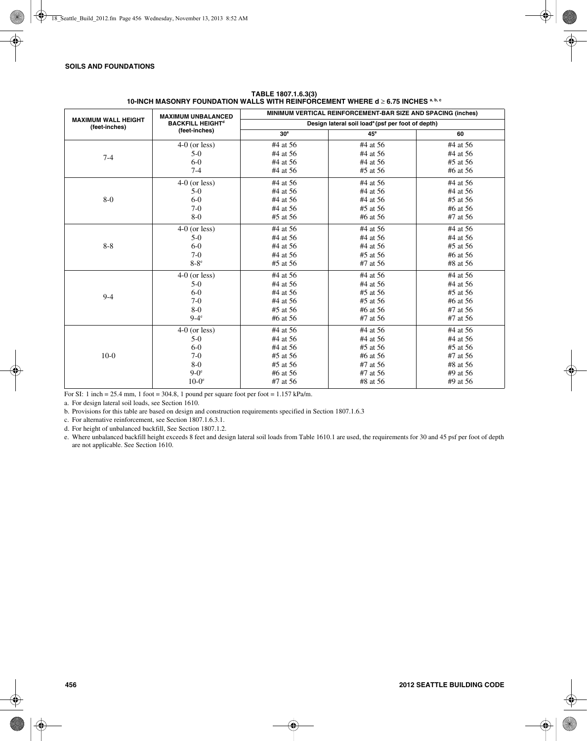|                                             | <b>MAXIMUM UNBALANCED</b>          | MINIMUM VERTICAL REINFORCEMENT-BAR SIZE AND SPACING (inches)  |              |          |  |
|---------------------------------------------|------------------------------------|---------------------------------------------------------------|--------------|----------|--|
| <b>MAXIMUM WALL HEIGHT</b><br>(feet-inches) | <b>BACKFILL HEIGHT<sup>d</sup></b> | Design lateral soil load <sup>a</sup> (psf per foot of depth) |              |          |  |
|                                             | (feet-inches)                      | 30 <sup>e</sup>                                               | $45^{\circ}$ | 60       |  |
|                                             | $4-0$ (or less)                    | #4 at 56                                                      | #4 at 56     | #4 at 56 |  |
| $7-4$                                       | $5-0$                              | #4 at 56                                                      | #4 at 56     | #4 at 56 |  |
|                                             | $6-0$                              | #4 at 56                                                      | #4 at 56     | #5 at 56 |  |
|                                             | $7 - 4$                            | #4 at 56                                                      | #5 at 56     | #6 at 56 |  |
|                                             | $4-0$ (or less)                    | #4 at 56                                                      | #4 at 56     | #4 at 56 |  |
|                                             | $5-0$                              | #4 at 56                                                      | #4 at 56     | #4 at 56 |  |
| $8-0$                                       | $6-0$                              | #4 at 56                                                      | #4 at 56     | #5 at 56 |  |
|                                             | $7-0$                              | #4 at 56                                                      | #5 at 56     | #6 at 56 |  |
|                                             | $8-0$                              | #5 at 56                                                      | #6 at 56     | #7 at 56 |  |
|                                             | $4-0$ (or less)                    | #4 at 56                                                      | #4 at 56     | #4 at 56 |  |
| $8-8$                                       | $5-0$                              | #4 at 56                                                      | #4 at 56     | #4 at 56 |  |
|                                             | $6-0$                              | #4 at 56                                                      | #4 at 56     | #5 at 56 |  |
|                                             | $7-0$                              | #4 at 56                                                      | #5 at 56     | #6 at 56 |  |
|                                             | $8-8$ <sup>e</sup>                 | #5 at 56                                                      | #7 at 56     | #8 at 56 |  |
|                                             | $4-0$ (or less)                    | #4 at 56                                                      | #4 at 56     | #4 at 56 |  |
|                                             | $5-0$                              | #4 at 56                                                      | #4 at 56     | #4 at 56 |  |
| $9 - 4$                                     | $6-0$                              | #4 at 56                                                      | #5 at 56     | #5 at 56 |  |
|                                             | $7-0$                              | #4 at 56                                                      | #5 at 56     | #6 at 56 |  |
|                                             | $8-0$                              | #5 at 56                                                      | #6 at 56     | #7 at 56 |  |
|                                             | $9-4^\circ$                        | #6 at 56                                                      | #7 at 56     | #7 at 56 |  |
|                                             | $4-0$ (or less)                    | #4 at 56                                                      | #4 at 56     | #4 at 56 |  |
|                                             | $5-0$                              | #4 at 56                                                      | #4 at 56     | #4 at 56 |  |
|                                             | $6-0$                              | #4 at 56                                                      | #5 at 56     | #5 at 56 |  |
| $10-0$                                      | $7-0$                              | #5 at 56                                                      | #6 at 56     | #7 at 56 |  |
|                                             | $8-0$                              | #5 at 56                                                      | #7 at 56     | #8 at 56 |  |
|                                             | $9-0^\circ$                        | #6 at 56                                                      | #7 at 56     | #9 at 56 |  |
|                                             | $10-0$ <sup>e</sup>                | #7 at 56                                                      | #8 at 56     | #9 at 56 |  |

#### **TABLE 1807.1.6.3(3) 10-INCH MASONRY FOUNDATION WALLS WITH REINFORCEMENT WHERE d** ≥ **6.75 INCHES a, b, c**

For SI: 1 inch = 25.4 mm, 1 foot = 304.8, 1 pound per square foot per foot =  $1.157$  kPa/m.

a. For design lateral soil loads, see Section 1610.

b. Provisions for this table are based on design and construction requirements specified in Section 1807.1.6.3

c. For alternative reinforcement, see Section 1807.1.6.3.1.

d. For height of unbalanced backfill, See Section 1807.1.2.

e. Where unbalanced backfill height exceeds 8 feet and design lateral soil loads from Table 1610.1 are used, the requirements for 30 and 45 psf per foot of depth are not applicable. See Section 1610.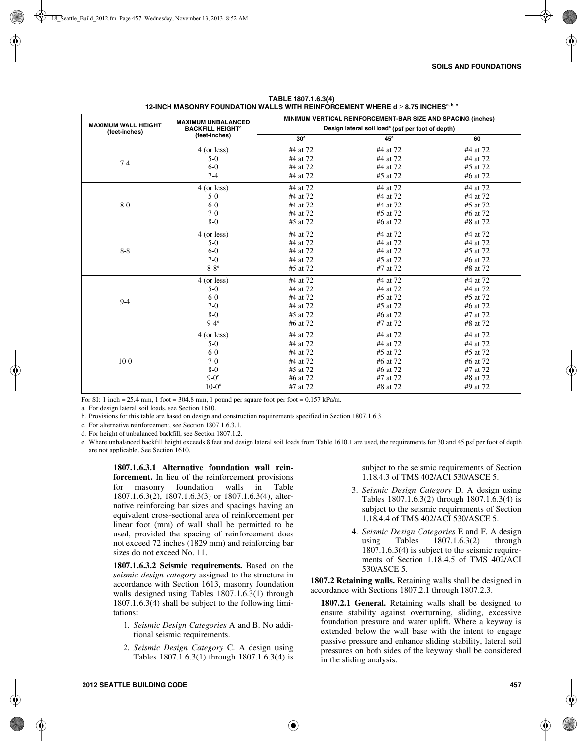|                                             | <b>MAXIMUM UNBALANCED</b>          | MINIMUM VERTICAL REINFORCEMENT-BAR SIZE AND SPACING (inches)  |              |          |  |
|---------------------------------------------|------------------------------------|---------------------------------------------------------------|--------------|----------|--|
| <b>MAXIMUM WALL HEIGHT</b><br>(feet-inches) | <b>BACKFILL HEIGHT<sup>d</sup></b> | Design lateral soil load <sup>a</sup> (psf per foot of depth) |              |          |  |
|                                             | (feet-inches)                      | 30 <sup>e</sup>                                               | $45^{\circ}$ | 60       |  |
|                                             | 4 (or less)                        | #4 at 72                                                      | #4 at 72     | #4 at 72 |  |
| $7 - 4$                                     | $5-0$                              | #4 at 72                                                      | #4 at 72     | #4 at 72 |  |
|                                             | $6-0$                              | #4 at 72                                                      | #4 at 72     | #5 at 72 |  |
|                                             | $7 - 4$                            | #4 at 72                                                      | #5 at 72     | #6 at 72 |  |
|                                             | 4 (or less)                        | #4 at 72                                                      | #4 at 72     | #4 at 72 |  |
|                                             | $5-0$                              | #4 at 72                                                      | #4 at 72     | #4 at 72 |  |
| $8-0$                                       | $6-0$                              | #4 at 72                                                      | #4 at 72     | #5 at 72 |  |
|                                             | $7-0$                              | #4 at 72                                                      | #5 at 72     | #6 at 72 |  |
|                                             | $8-0$                              | #5 at 72                                                      | #6 at 72     | #8 at 72 |  |
|                                             | 4 (or less)                        | #4 at 72                                                      | #4 at 72     | #4 at 72 |  |
|                                             | $5-0$                              | #4 at 72                                                      | #4 at 72     | #4 at 72 |  |
| $8 - 8$                                     | $6-0$                              | #4 at 72                                                      | #4 at 72     | #5 at 72 |  |
|                                             | $7-0$                              | #4 at 72                                                      | #5 at 72     | #6 at 72 |  |
|                                             | $8-8$ <sup>e</sup>                 | #5 at 72                                                      | #7 at 72     | #8 at 72 |  |
|                                             | 4 (or less)                        | #4 at 72                                                      | #4 at 72     | #4 at 72 |  |
| $9 - 4$                                     | $5-0$                              | #4 at 72                                                      | #4 at 72     | #4 at 72 |  |
|                                             | $6 - 0$                            | #4 at 72                                                      | #5 at 72     | #5 at 72 |  |
|                                             | $7-0$                              | #4 at 72                                                      | #5 at 72     | #6 at 72 |  |
|                                             | $8-0$                              | #5 at 72                                                      | #6 at 72     | #7 at 72 |  |
|                                             | $9-4$ <sup>e</sup>                 | #6 at 72                                                      | #7 at 72     | #8 at 72 |  |
|                                             | 4 (or less)                        | #4 at 72                                                      | #4 at 72     | #4 at 72 |  |
|                                             | $5-0$                              | #4 at 72                                                      | #4 at 72     | #4 at 72 |  |
|                                             | $6-0$                              | #4 at 72                                                      | #5 at 72     | #5 at 72 |  |
| $10-0$                                      | $7-0$                              | #4 at 72                                                      | #6 at 72     | #6 at 72 |  |
|                                             | $8-0$                              | #5 at 72                                                      | #6 at 72     | #7 at 72 |  |
|                                             | $9-0^\circ$                        | #6 at 72                                                      | #7 at 72     | #8 at 72 |  |
|                                             | $10-0e$                            | #7 at 72                                                      | #8 at 72     | #9 at 72 |  |

**TABLE 1807.1.6.3(4) 12-INCH MASONRY FOUNDATION WALLS WITH REINFORCEMENT WHERE d** ≥ **8.75 INCHESa, b, c**

For SI: 1 inch = 25.4 mm, 1 foot = 304.8 mm, 1 pound per square foot per foot =  $0.157$  kPa/m.

a. For design lateral soil loads, see Section 1610.

b. Provisions for this table are based on design and construction requirements specified in Section 1807.1.6.3.

c. For alternative reinforcement, see Section 1807.1.6.3.1.

d. For height of unbalanced backfill, see Section 1807.1.2.

e Where unbalanced backfill height exceeds 8 feet and design lateral soil loads from Table 1610.1 are used, the requirements for 30 and 45 psf per foot of depth are not applicable. See Section 1610.

**1807.1.6.3.1 Alternative foundation wall reinforcement.** In lieu of the reinforcement provisions for masonry foundation walls in Table 1807.1.6.3(2), 1807.1.6.3(3) or 1807.1.6.3(4), alternative reinforcing bar sizes and spacings having an equivalent cross-sectional area of reinforcement per linear foot (mm) of wall shall be permitted to be used, provided the spacing of reinforcement does not exceed 72 inches (1829 mm) and reinforcing bar sizes do not exceed No. 11.

**1807.1.6.3.2 Seismic requirements.** Based on the *seismic design category* assigned to the structure in accordance with Section 1613, masonry foundation walls designed using Tables 1807.1.6.3(1) through 1807.1.6.3(4) shall be subject to the following limitations:

- 1. *Seismic Design Categories* A and B. No additional seismic requirements.
- 2. *Seismic Design Category* C. A design using Tables 1807.1.6.3(1) through 1807.1.6.3(4) is

subject to the seismic requirements of Section 1.18.4.3 of TMS 402/ACI 530/ASCE 5.

- 3. *Seismic Design Category* D. A design using Tables 1807.1.6.3(2) through 1807.1.6.3(4) is subject to the seismic requirements of Section 1.18.4.4 of TMS 402/ACI 530/ASCE 5.
- 4. *Seismic Design Categories* E and F. A design using Tables 1807.1.6.3(2) through 1807.1.6.3(4) is subject to the seismic requirements of Section 1.18.4.5 of TMS 402/ACI 530/ASCE 5.

**1807.2 Retaining walls.** Retaining walls shall be designed in accordance with Sections 1807.2.1 through 1807.2.3.

**1807.2.1 General.** Retaining walls shall be designed to ensure stability against overturning, sliding, excessive foundation pressure and water uplift. Where a keyway is extended below the wall base with the intent to engage passive pressure and enhance sliding stability, lateral soil pressures on both sides of the keyway shall be considered in the sliding analysis.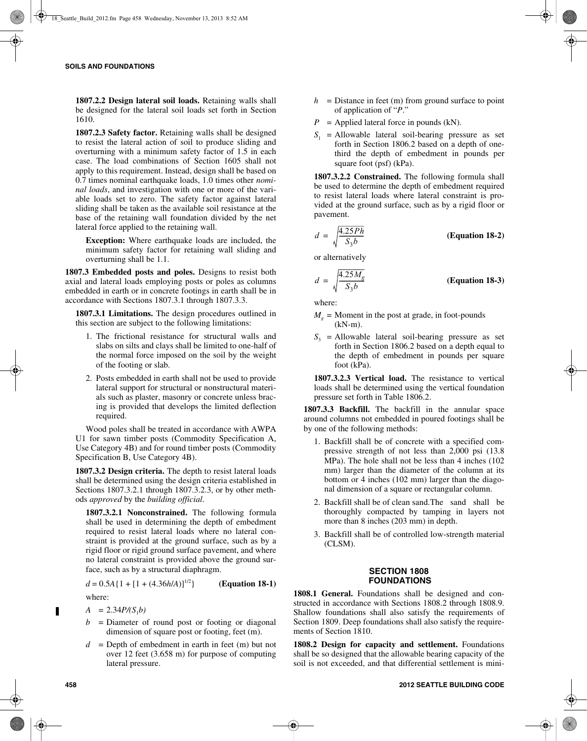**1807.2.2 Design lateral soil loads.** Retaining walls shall be designed for the lateral soil loads set forth in Section 1610.

**1807.2.3 Safety factor.** Retaining walls shall be designed to resist the lateral action of soil to produce sliding and overturning with a minimum safety factor of 1.5 in each case. The load combinations of Section 1605 shall not apply to this requirement. Instead, design shall be based on 0.7 times nominal earthquake loads, 1.0 times other *nominal loads*, and investigation with one or more of the variable loads set to zero. The safety factor against lateral sliding shall be taken as the available soil resistance at the base of the retaining wall foundation divided by the net lateral force applied to the retaining wall.

**Exception:** Where earthquake loads are included, the minimum safety factor for retaining wall sliding and overturning shall be 1.1.

**1807.3 Embedded posts and poles.** Designs to resist both axial and lateral loads employing posts or poles as columns embedded in earth or in concrete footings in earth shall be in accordance with Sections 1807.3.1 through 1807.3.3.

**1807.3.1 Limitations.** The design procedures outlined in this section are subject to the following limitations:

- 1. The frictional resistance for structural walls and slabs on silts and clays shall be limited to one-half of the normal force imposed on the soil by the weight of the footing or slab.
- 2. Posts embedded in earth shall not be used to provide lateral support for structural or nonstructural materials such as plaster, masonry or concrete unless bracing is provided that develops the limited deflection required.

Wood poles shall be treated in accordance with AWPA U1 for sawn timber posts (Commodity Specification A, Use Category 4B) and for round timber posts (Commodity Specification B, Use Category 4B).

**1807.3.2 Design criteria.** The depth to resist lateral loads shall be determined using the design criteria established in Sections 1807.3.2.1 through 1807.3.2.3, or by other methods *approved* by the *building official*.

**1807.3.2.1 Nonconstrained.** The following formula shall be used in determining the depth of embedment required to resist lateral loads where no lateral constraint is provided at the ground surface, such as by a rigid floor or rigid ground surface pavement, and where no lateral constraint is provided above the ground surface, such as by a structural diaphragm.

$$
d = 0.5A\{1 + [1 + (4.36h/A)]
$$

 $\binom{1/2}{1}$  (Equation 18-1)

where:

- $A = 2.34P/(S_1b)$
- $b =$  Diameter of round post or footing or diagonal dimension of square post or footing, feet (m).
- $d =$  Depth of embedment in earth in feet (m) but not over 12 feet (3.658 m) for purpose of computing lateral pressure.
- $h =$  Distance in feet (m) from ground surface to point of application of "*P*."
- $P =$  Applied lateral force in pounds (kN).
- $S_1$  = Allowable lateral soil-bearing pressure as set forth in Section 1806.2 based on a depth of onethird the depth of embedment in pounds per square foot (psf) (kPa).

**1807.3.2.2 Constrained.** The following formula shall be used to determine the depth of embedment required to resist lateral loads where lateral constraint is provided at the ground surface, such as by a rigid floor or pavement.

$$
d = \sqrt{\frac{4.25Ph}{S_3b}}
$$
 (Equation 18-2)

or alternatively

$$
d = \sqrt{\frac{4.25M_g}{S_3b}}
$$
 (Equation 18-3)

where:

- $M<sub>g</sub>$  = Moment in the post at grade, in foot-pounds (kN-m).
- $S_3$  = Allowable lateral soil-bearing pressure as set forth in Section 1806.2 based on a depth equal to the depth of embedment in pounds per square foot (kPa).

**1807.3.2.3 Vertical load.** The resistance to vertical loads shall be determined using the vertical foundation pressure set forth in Table 1806.2.

**1807.3.3 Backfill.** The backfill in the annular space around columns not embedded in poured footings shall be by one of the following methods:

- 1. Backfill shall be of concrete with a specified compressive strength of not less than 2,000 psi (13.8 MPa). The hole shall not be less than 4 inches (102 mm) larger than the diameter of the column at its bottom or 4 inches (102 mm) larger than the diagonal dimension of a square or rectangular column.
- 2. Backfill shall be of clean sand.The sand shall be thoroughly compacted by tamping in layers not more than 8 inches (203 mm) in depth.
- 3. Backfill shall be of controlled low-strength material (CLSM).

#### **SECTION 1808 FOUNDATIONS**

1808.1 General. Foundations shall be designed and constructed in accordance with Sections 1808.2 through 1808.9. Shallow foundations shall also satisfy the requirements of Section 1809. Deep foundations shall also satisfy the requirements of Section 1810.

**1808.2 Design for capacity and settlement.** Foundations shall be so designed that the allowable bearing capacity of the soil is not exceeded, and that differential settlement is mini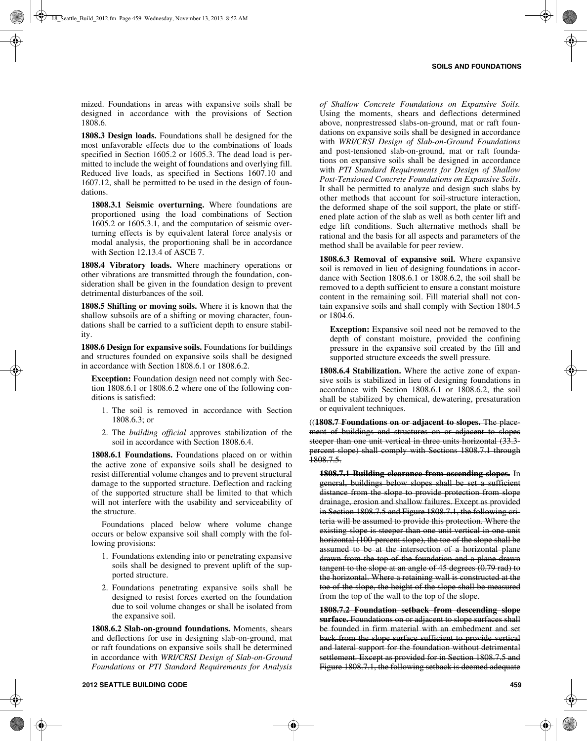mized. Foundations in areas with expansive soils shall be designed in accordance with the provisions of Section 1808.6.

**1808.3 Design loads.** Foundations shall be designed for the most unfavorable effects due to the combinations of loads specified in Section 1605.2 or 1605.3. The dead load is permitted to include the weight of foundations and overlying fill. Reduced live loads, as specified in Sections 1607.10 and 1607.12, shall be permitted to be used in the design of foundations.

**1808.3.1 Seismic overturning.** Where foundations are proportioned using the load combinations of Section 1605.2 or 1605.3.1, and the computation of seismic overturning effects is by equivalent lateral force analysis or modal analysis, the proportioning shall be in accordance with Section 12.13.4 of ASCE 7.

**1808.4 Vibratory loads.** Where machinery operations or other vibrations are transmitted through the foundation, consideration shall be given in the foundation design to prevent detrimental disturbances of the soil.

**1808.5 Shifting or moving soils.** Where it is known that the shallow subsoils are of a shifting or moving character, foundations shall be carried to a sufficient depth to ensure stability.

**1808.6 Design for expansive soils.** Foundations for buildings and structures founded on expansive soils shall be designed in accordance with Section 1808.6.1 or 1808.6.2.

**Exception:** Foundation design need not comply with Section 1808.6.1 or 1808.6.2 where one of the following conditions is satisfied:

- 1. The soil is removed in accordance with Section 1808.6.3; or
- 2. The *building official* approves stabilization of the soil in accordance with Section 1808.6.4.

**1808.6.1 Foundations.** Foundations placed on or within the active zone of expansive soils shall be designed to resist differential volume changes and to prevent structural damage to the supported structure. Deflection and racking of the supported structure shall be limited to that which will not interfere with the usability and serviceability of the structure.

Foundations placed below where volume change occurs or below expansive soil shall comply with the following provisions:

- 1. Foundations extending into or penetrating expansive soils shall be designed to prevent uplift of the supported structure.
- 2. Foundations penetrating expansive soils shall be designed to resist forces exerted on the foundation due to soil volume changes or shall be isolated from the expansive soil.

**1808.6.2 Slab-on-ground foundations.** Moments, shears and deflections for use in designing slab-on-ground, mat or raft foundations on expansive soils shall be determined in accordance with *WRI/CRSI Design of Slab-on-Ground Foundations* or *PTI Standard Requirements for Analysis*

*of Shallow Concrete Foundations on Expansive Soils.* Using the moments, shears and deflections determined above, nonprestressed slabs-on-ground, mat or raft foundations on expansive soils shall be designed in accordance with *WRI/CRSI Design of Slab-on-Ground Foundations* and post-tensioned slab-on-ground, mat or raft foundations on expansive soils shall be designed in accordance with *PTI Standard Requirements for Design of Shallow Post-Tensioned Concrete Foundations on Expansive Soils*. It shall be permitted to analyze and design such slabs by other methods that account for soil-structure interaction, the deformed shape of the soil support, the plate or stiffened plate action of the slab as well as both center lift and edge lift conditions. Such alternative methods shall be rational and the basis for all aspects and parameters of the method shall be available for peer review.

**1808.6.3 Removal of expansive soil.** Where expansive soil is removed in lieu of designing foundations in accordance with Section 1808.6.1 or 1808.6.2, the soil shall be removed to a depth sufficient to ensure a constant moisture content in the remaining soil. Fill material shall not contain expansive soils and shall comply with Section 1804.5 or 1804.6.

**Exception:** Expansive soil need not be removed to the depth of constant moisture, provided the confining pressure in the expansive soil created by the fill and supported structure exceeds the swell pressure.

**1808.6.4 Stabilization.** Where the active zone of expansive soils is stabilized in lieu of designing foundations in accordance with Section 1808.6.1 or 1808.6.2, the soil shall be stabilized by chemical, dewatering, presaturation or equivalent techniques.

((**1808.7 Foundations on or adjacent to slopes.** The placement of buildings and structures on or adjacent to slopes steeper than one unit vertical in three units horizontal (33.3percent slope) shall comply with Sections 1808.7.1 through  $1808.7.5.$ 

**1808.7.1 Building clearance from ascending slopes.** In general, buildings below slopes shall be set a sufficient distance from the slope to provide protection from slope drainage, erosion and shallow failures. Except as provided in Section 1808.7.5 and Figure 1808.7.1, the following criteria will be assumed to provide this protection. Where the existing slope is steeper than one unit vertical in one unit horizontal (100-percent slope), the toe of the slope shall be assumed to be at the intersection of a horizontal plane drawn from the top of the foundation and a plane drawn tangent to the slope at an angle of 45 degrees (0.79 rad) to the horizontal. Where a retaining wall is constructed at the toe of the slope, the height of the slope shall be measured from the top of the wall to the top of the slope.

**1808.7.2 Foundation setback from descending slope surface.** Foundations on or adjacent to slope surfaces shall be founded in firm material with an embedment and set back from the slope surface sufficient to provide vertical and lateral support for the foundation without detrimental settlement. Except as provided for in Section 1808.7.5 and Figure 1808.7.1, the following setback is deemed adequate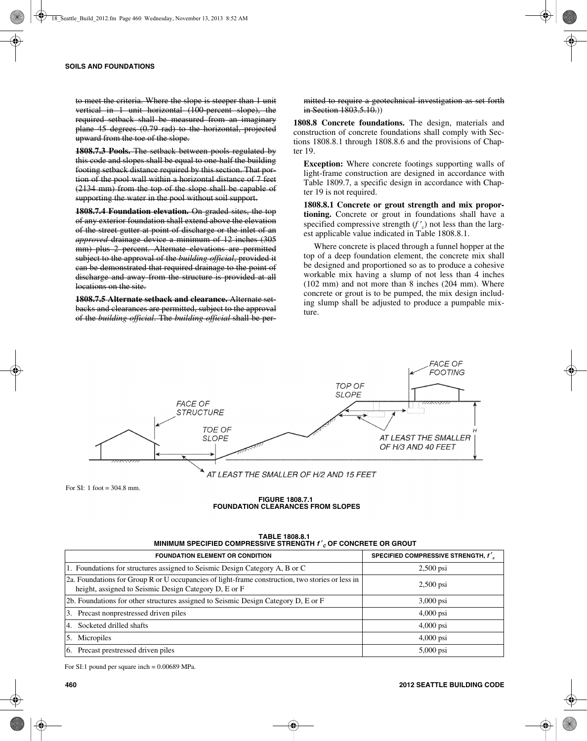to meet the criteria. Where the slope is steeper than 1 unit vertical in 1 unit horizontal (100-percent slope), the required setback shall be measured from an imaginary plane 45 degrees (0.79 rad) to the horizontal, projected upward from the toe of the slope.

**1808.7.3 Pools.** The setback between pools regulated by this code and slopes shall be equal to one-half the building footing setback distance required by this section. That portion of the pool wall within a horizontal distance of 7 feet (2134 mm) from the top of the slope shall be capable of supporting the water in the pool without soil support.

**1808.7.4 Foundation elevation.** On graded sites, the top of any exterior foundation shall extend above the elevation of the street gutter at point of discharge or the inlet of an *approved* drainage device a minimum of 12 inches (305 mm) plus 2 percent. Alternate elevations are permitted subject to the approval of the *building official*, provided it can be demonstrated that required drainage to the point of discharge and away from the structure is provided at all locations on the site.

**1808.7.5 Alternate setback and clearance.** Alternate setbacks and clearances are permitted, subject to the approval of the *building official*. The *building official* shall be permitted to require a geotechnical investigation as set forth in Section 1803.5.10.)

**1808.8 Concrete foundations.** The design, materials and construction of concrete foundations shall comply with Sections 1808.8.1 through 1808.8.6 and the provisions of Chapter 19.

**Exception:** Where concrete footings supporting walls of light-frame construction are designed in accordance with Table 1809.7, a specific design in accordance with Chapter 19 is not required.

**1808.8.1 Concrete or grout strength and mix proportioning.** Concrete or grout in foundations shall have a specified compressive strength  $(f'_c)$  not less than the largest applicable value indicated in Table 1808.8.1.

Where concrete is placed through a funnel hopper at the top of a deep foundation element, the concrete mix shall be designed and proportioned so as to produce a cohesive workable mix having a slump of not less than 4 inches (102 mm) and not more than 8 inches (204 mm). Where concrete or grout is to be pumped, the mix design including slump shall be adjusted to produce a pumpable mixture.



For SI: 1 foot  $= 304.8$  mm.

#### **FIGURE 1808.7.1 FOUNDATION CLEARANCES FROM SLOPES**

| <b>MINIMUM SPECIFIED COMPRESSIVE STRENGTH / COP CONCRETE OR GROUT</b>                                                                                     |                                        |  |  |  |
|-----------------------------------------------------------------------------------------------------------------------------------------------------------|----------------------------------------|--|--|--|
| <b>FOUNDATION ELEMENT OR CONDITION</b>                                                                                                                    | SPECIFIED COMPRESSIVE STRENGTH, $f'_c$ |  |  |  |
| 1. Foundations for structures assigned to Seismic Design Category A, B or C                                                                               | $2,500$ psi                            |  |  |  |
| 2a. Foundations for Group R or U occupancies of light-frame construction, two stories or less in<br>height, assigned to Seismic Design Category D, E or F | $2,500$ psi                            |  |  |  |
| 2b. Foundations for other structures assigned to Seismic Design Category D, E or F                                                                        | $3,000$ psi                            |  |  |  |
| 3. Precast nonprestressed driven piles                                                                                                                    | $4,000$ psi                            |  |  |  |
| Socketed drilled shafts<br>4.                                                                                                                             | $4,000$ psi                            |  |  |  |
| 5. Micropiles                                                                                                                                             | $4,000$ psi                            |  |  |  |
| 6. Precast prestressed driven piles                                                                                                                       | 5,000 psi                              |  |  |  |

#### **TABLE 1808.8.1 MINIMUM SPECIFIED COMPRESSIVE STRENGTH** *f* ′*C* **OF CONCRETE OR GROUT**

For SI:1 pound per square inch = 0.00689 MPa.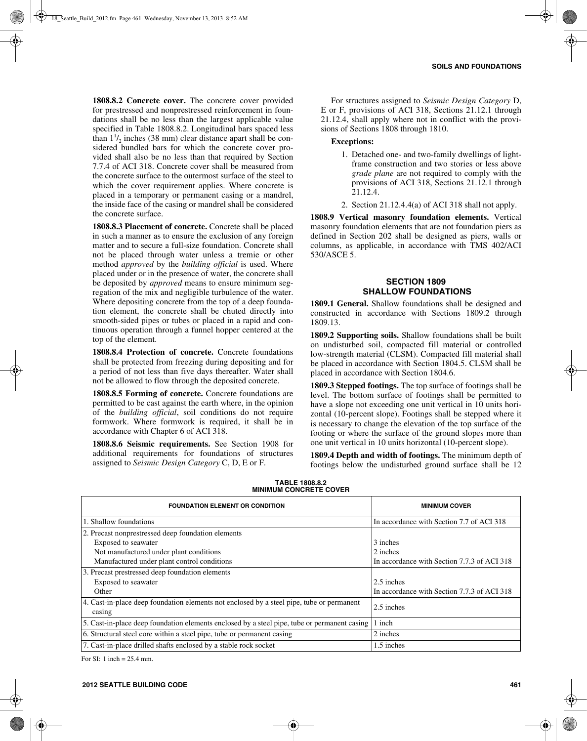**1808.8.2 Concrete cover.** The concrete cover provided for prestressed and nonprestressed reinforcement in foundations shall be no less than the largest applicable value specified in Table 1808.8.2. Longitudinal bars spaced less than  $1\frac{1}{2}$  inches (38 mm) clear distance apart shall be considered bundled bars for which the concrete cover provided shall also be no less than that required by Section 7.7.4 of ACI 318. Concrete cover shall be measured from the concrete surface to the outermost surface of the steel to which the cover requirement applies. Where concrete is placed in a temporary or permanent casing or a mandrel, the inside face of the casing or mandrel shall be considered the concrete surface.

**1808.8.3 Placement of concrete.** Concrete shall be placed in such a manner as to ensure the exclusion of any foreign matter and to secure a full-size foundation. Concrete shall not be placed through water unless a tremie or other method *approved* by the *building official* is used. Where placed under or in the presence of water, the concrete shall be deposited by *approved* means to ensure minimum segregation of the mix and negligible turbulence of the water. Where depositing concrete from the top of a deep foundation element, the concrete shall be chuted directly into smooth-sided pipes or tubes or placed in a rapid and continuous operation through a funnel hopper centered at the top of the element.

**1808.8.4 Protection of concrete.** Concrete foundations shall be protected from freezing during depositing and for a period of not less than five days thereafter. Water shall not be allowed to flow through the deposited concrete.

**1808.8.5 Forming of concrete.** Concrete foundations are permitted to be cast against the earth where, in the opinion of the *building official*, soil conditions do not require formwork. Where formwork is required, it shall be in accordance with Chapter 6 of ACI 318.

**1808.8.6 Seismic requirements.** See Section 1908 for additional requirements for foundations of structures assigned to *Seismic Design Category* C, D, E or F.

For structures assigned to *Seismic Design Category* D, E or F, provisions of ACI 318, Sections 21.12.1 through 21.12.4, shall apply where not in conflict with the provisions of Sections 1808 through 1810.

## **Exceptions:**

- 1. Detached one- and two-family dwellings of lightframe construction and two stories or less above *grade plane* are not required to comply with the provisions of ACI 318, Sections 21.12.1 through 21.12.4.
- 2. Section 21.12.4.4(a) of ACI 318 shall not apply.

**1808.9 Vertical masonry foundation elements.** Vertical masonry foundation elements that are not foundation piers as defined in Section 202 shall be designed as piers, walls or columns, as applicable, in accordance with TMS 402/ACI 530/ASCE 5.

## **SECTION 1809 SHALLOW FOUNDATIONS**

**1809.1 General.** Shallow foundations shall be designed and constructed in accordance with Sections 1809.2 through 1809.13.

**1809.2 Supporting soils.** Shallow foundations shall be built on undisturbed soil, compacted fill material or controlled low-strength material (CLSM). Compacted fill material shall be placed in accordance with Section 1804.5. CLSM shall be placed in accordance with Section 1804.6.

**1809.3 Stepped footings.** The top surface of footings shall be level. The bottom surface of footings shall be permitted to have a slope not exceeding one unit vertical in 10 units horizontal (10-percent slope). Footings shall be stepped where it is necessary to change the elevation of the top surface of the footing or where the surface of the ground slopes more than one unit vertical in 10 units horizontal (10-percent slope).

**1809.4 Depth and width of footings.** The minimum depth of footings below the undisturbed ground surface shall be 12

| <b>FOUNDATION ELEMENT OR CONDITION</b>                                                       | <b>MINIMUM COVER</b>                        |
|----------------------------------------------------------------------------------------------|---------------------------------------------|
| 1. Shallow foundations                                                                       | In accordance with Section 7.7 of ACI 318   |
| 2. Precast nonprestressed deep foundation elements                                           |                                             |
| Exposed to seawater                                                                          | 3 inches                                    |
| Not manufactured under plant conditions                                                      | 2 inches                                    |
| Manufactured under plant control conditions                                                  | In accordance with Section 7.7.3 of ACI 318 |
| 3. Precast prestressed deep foundation elements                                              |                                             |
| Exposed to seawater                                                                          | 2.5 inches                                  |
| Other                                                                                        | In accordance with Section 7.7.3 of ACI 318 |
| 4. Cast-in-place deep foundation elements not enclosed by a steel pipe, tube or permanent    | 2.5 inches                                  |
| casing                                                                                       |                                             |
| 5. Cast-in-place deep foundation elements enclosed by a steel pipe, tube or permanent casing | 1 inch                                      |
| 6. Structural steel core within a steel pipe, tube or permanent casing                       | 2 inches                                    |
| 7. Cast-in-place drilled shafts enclosed by a stable rock socket                             | 1.5 inches                                  |

#### **TABLE 1808.8.2 MINIMUM CONCRETE COVER**

For SI: 1 inch = 25.4 mm.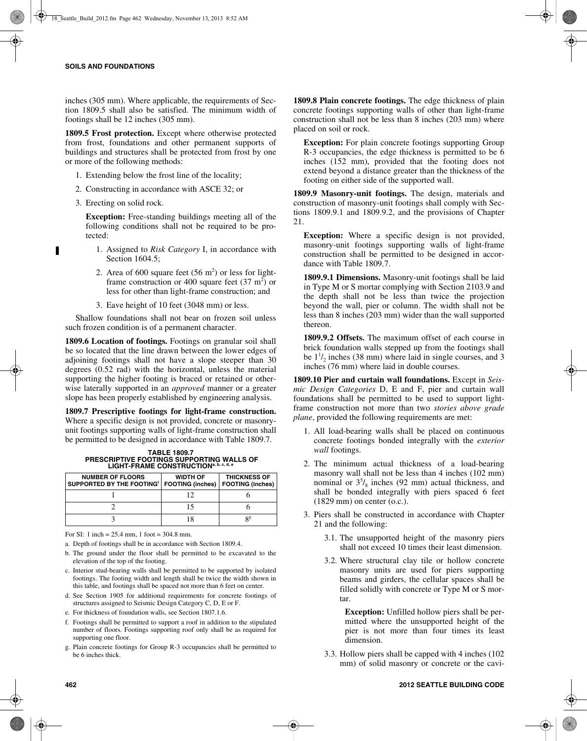inches (305 mm). Where applicable, the requirements of Section 1809.5 shall also be satisfied. The minimum width of footings shall be 12 inches (305 mm).

**1809.5 Frost protection.** Except where otherwise protected from frost, foundations and other permanent supports of buildings and structures shall be protected from frost by one or more of the following methods:

- 1. Extending below the frost line of the locality;
- 2. Constructing in accordance with ASCE 32; or
- 3. Erecting on solid rock.

**Exception:** Free-standing buildings meeting all of the following conditions shall not be required to be protected:

- 1. Assigned to *Risk Category* I, in accordance with Section 1604.5;
- 2. Area of 600 square feet  $(56 \text{ m}^2)$  or less for lightframe construction or 400 square feet  $(37 \text{ m}^2)$  or less for other than light-frame construction; and
- 3. Eave height of 10 feet (3048 mm) or less.

Shallow foundations shall not bear on frozen soil unless such frozen condition is of a permanent character.

**1809.6 Location of footings.** Footings on granular soil shall be so located that the line drawn between the lower edges of adjoining footings shall not have a slope steeper than 30 degrees (0.52 rad) with the horizontal, unless the material supporting the higher footing is braced or retained or otherwise laterally supported in an *approved* manner or a greater slope has been properly established by engineering analysis.

**1809.7 Prescriptive footings for light-frame construction.** Where a specific design is not provided, concrete or masonryunit footings supporting walls of light-frame construction shall be permitted to be designed in accordance with Table 1809.7.

**TABLE 1809.7 PRESCRIPTIVE FOOTINGS SUPPORTING WALLS OF LIGHT-FRAME CONSTRUCTIONa, b, c, d, e**

| <b>NUMBER OF FLOORS</b><br>SUPPORTED BY THE FOOTING <sup>1</sup> | <b>WIDTH OF</b><br><b>FOOTING (inches)   FOOTING (inches)</b> | <b>THICKNESS OF</b> |
|------------------------------------------------------------------|---------------------------------------------------------------|---------------------|
|                                                                  |                                                               |                     |
|                                                                  |                                                               |                     |
|                                                                  |                                                               | Qg                  |

For SI: 1 inch = 25.4 mm, 1 foot = 304.8 mm.

a. Depth of footings shall be in accordance with Section 1809.4.

- b. The ground under the floor shall be permitted to be excavated to the elevation of the top of the footing.
- c. Interior stud-bearing walls shall be permitted to be supported by isolated footings. The footing width and length shall be twice the width shown in this table, and footings shall be spaced not more than 6 feet on center.
- d. See Section 1905 for additional requirements for concrete footings of structures assigned to Seismic Design Category C, D, E or F.
- e. For thickness of foundation walls, see Section 1807.1.6.
- f. Footings shall be permitted to support a roof in addition to the stipulated number of floors. Footings supporting roof only shall be as required for supporting one floor.
- g. Plain concrete footings for Group R-3 occupancies shall be permitted to be 6 inches thick.

**1809.8 Plain concrete footings.** The edge thickness of plain concrete footings supporting walls of other than light-frame construction shall not be less than 8 inches (203 mm) where placed on soil or rock.

**Exception:** For plain concrete footings supporting Group R-3 occupancies, the edge thickness is permitted to be 6 inches (152 mm), provided that the footing does not extend beyond a distance greater than the thickness of the footing on either side of the supported wall.

**1809.9 Masonry-unit footings.** The design, materials and construction of masonry-unit footings shall comply with Sections 1809.9.1 and 1809.9.2, and the provisions of Chapter 21.

**Exception:** Where a specific design is not provided, masonry-unit footings supporting walls of light-frame construction shall be permitted to be designed in accordance with Table 1809.7.

**1809.9.1 Dimensions.** Masonry-unit footings shall be laid in Type M or S mortar complying with Section 2103.9 and the depth shall not be less than twice the projection beyond the wall, pier or column. The width shall not be less than 8 inches (203 mm) wider than the wall supported thereon.

**1809.9.2 Offsets.** The maximum offset of each course in brick foundation walls stepped up from the footings shall be  $1^1/2$  inches (38 mm) where laid in single courses, and 3 inches (76 mm) where laid in double courses.

**1809.10 Pier and curtain wall foundations.** Except in *Seismic Design Categories* D, E and F, pier and curtain wall foundations shall be permitted to be used to support lightframe construction not more than two *stories above grade plane*, provided the following requirements are met:

- 1. All load-bearing walls shall be placed on continuous concrete footings bonded integrally with the *exterior wall* footings.
- 2. The minimum actual thickness of a load-bearing masonry wall shall not be less than 4 inches (102 mm) nominal or  $3<sup>5</sup>/<sub>8</sub>$  inches (92 mm) actual thickness, and shall be bonded integrally with piers spaced 6 feet (1829 mm) on center (o.c.).
- 3. Piers shall be constructed in accordance with Chapter 21 and the following:
	- 3.1. The unsupported height of the masonry piers shall not exceed 10 times their least dimension.
	- 3.2. Where structural clay tile or hollow concrete masonry units are used for piers supporting beams and girders, the cellular spaces shall be filled solidly with concrete or Type M or S mortar.

**Exception:** Unfilled hollow piers shall be permitted where the unsupported height of the pier is not more than four times its least dimension.

3.3. Hollow piers shall be capped with 4 inches (102 mm) of solid masonry or concrete or the cavi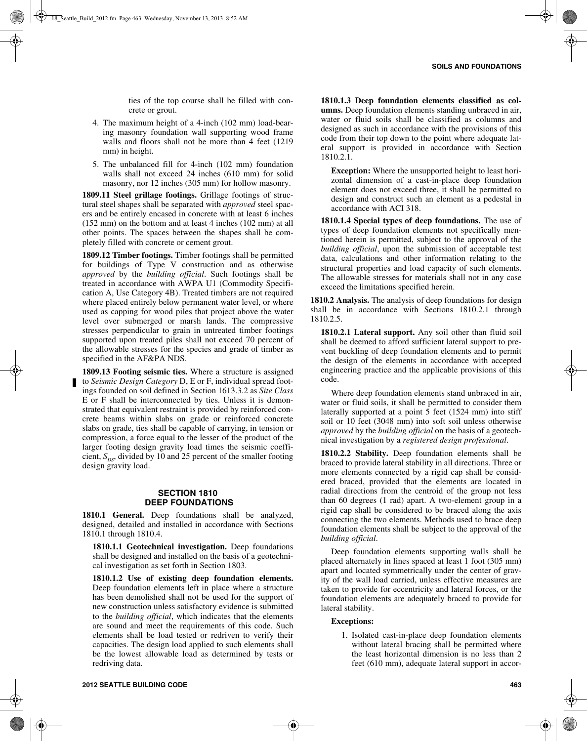ties of the top course shall be filled with concrete or grout.

- 4. The maximum height of a 4-inch (102 mm) load-bearing masonry foundation wall supporting wood frame walls and floors shall not be more than 4 feet (1219 mm) in height.
- 5. The unbalanced fill for 4-inch (102 mm) foundation walls shall not exceed 24 inches (610 mm) for solid masonry, nor 12 inches (305 mm) for hollow masonry.

**1809.11 Steel grillage footings.** Grillage footings of structural steel shapes shall be separated with *approved* steel spacers and be entirely encased in concrete with at least 6 inches (152 mm) on the bottom and at least 4 inches (102 mm) at all other points. The spaces between the shapes shall be completely filled with concrete or cement grout.

**1809.12 Timber footings.** Timber footings shall be permitted for buildings of Type V construction and as otherwise *approved* by the *building official*. Such footings shall be treated in accordance with AWPA U1 (Commodity Specification A, Use Category 4B). Treated timbers are not required where placed entirely below permanent water level, or where used as capping for wood piles that project above the water level over submerged or marsh lands. The compressive stresses perpendicular to grain in untreated timber footings supported upon treated piles shall not exceed 70 percent of the allowable stresses for the species and grade of timber as specified in the AF&PA NDS.

**1809.13 Footing seismic ties.** Where a structure is assigned to *Seismic Design Category* D, E or F, individual spread footings founded on soil defined in Section 1613.3.2 as *Site Class* E or F shall be interconnected by ties. Unless it is demonstrated that equivalent restraint is provided by reinforced concrete beams within slabs on grade or reinforced concrete slabs on grade, ties shall be capable of carrying, in tension or compression, a force equal to the lesser of the product of the larger footing design gravity load times the seismic coefficient,  $S_{DS}$ , divided by 10 and 25 percent of the smaller footing design gravity load.

#### **SECTION 1810 DEEP FOUNDATIONS**

**1810.1 General.** Deep foundations shall be analyzed, designed, detailed and installed in accordance with Sections 1810.1 through 1810.4.

**1810.1.1 Geotechnical investigation.** Deep foundations shall be designed and installed on the basis of a geotechnical investigation as set forth in Section 1803.

**1810.1.2 Use of existing deep foundation elements.** Deep foundation elements left in place where a structure has been demolished shall not be used for the support of new construction unless satisfactory evidence is submitted to the *building official*, which indicates that the elements are sound and meet the requirements of this code. Such elements shall be load tested or redriven to verify their capacities. The design load applied to such elements shall be the lowest allowable load as determined by tests or redriving data.

**1810.1.3 Deep foundation elements classified as columns.** Deep foundation elements standing unbraced in air, water or fluid soils shall be classified as columns and designed as such in accordance with the provisions of this code from their top down to the point where adequate lateral support is provided in accordance with Section 1810.2.1.

**Exception:** Where the unsupported height to least horizontal dimension of a cast-in-place deep foundation element does not exceed three, it shall be permitted to design and construct such an element as a pedestal in accordance with ACI 318.

**1810.1.4 Special types of deep foundations.** The use of types of deep foundation elements not specifically mentioned herein is permitted, subject to the approval of the *building official*, upon the submission of acceptable test data, calculations and other information relating to the structural properties and load capacity of such elements. The allowable stresses for materials shall not in any case exceed the limitations specified herein.

**1810.2 Analysis.** The analysis of deep foundations for design shall be in accordance with Sections 1810.2.1 through 1810.2.5.

**1810.2.1 Lateral support.** Any soil other than fluid soil shall be deemed to afford sufficient lateral support to prevent buckling of deep foundation elements and to permit the design of the elements in accordance with accepted engineering practice and the applicable provisions of this code.

Where deep foundation elements stand unbraced in air, water or fluid soils, it shall be permitted to consider them laterally supported at a point 5 feet (1524 mm) into stiff soil or 10 feet (3048 mm) into soft soil unless otherwise *approved* by the *building official* on the basis of a geotechnical investigation by a *registered design professional*.

**1810.2.2 Stability.** Deep foundation elements shall be braced to provide lateral stability in all directions. Three or more elements connected by a rigid cap shall be considered braced, provided that the elements are located in radial directions from the centroid of the group not less than 60 degrees (1 rad) apart. A two-element group in a rigid cap shall be considered to be braced along the axis connecting the two elements. Methods used to brace deep foundation elements shall be subject to the approval of the *building official*.

Deep foundation elements supporting walls shall be placed alternately in lines spaced at least 1 foot (305 mm) apart and located symmetrically under the center of gravity of the wall load carried, unless effective measures are taken to provide for eccentricity and lateral forces, or the foundation elements are adequately braced to provide for lateral stability.

**Exceptions:**

1. Isolated cast-in-place deep foundation elements without lateral bracing shall be permitted where the least horizontal dimension is no less than 2 feet (610 mm), adequate lateral support in accor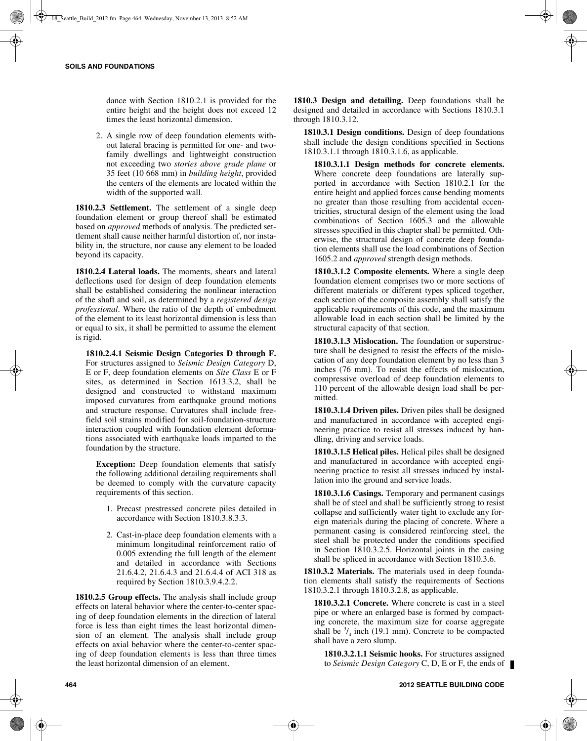dance with Section 1810.2.1 is provided for the entire height and the height does not exceed 12 times the least horizontal dimension.

2. A single row of deep foundation elements without lateral bracing is permitted for one- and twofamily dwellings and lightweight construction not exceeding two *stories above grade plane* or 35 feet (10 668 mm) in *building height*, provided the centers of the elements are located within the width of the supported wall.

**1810.2.3 Settlement.** The settlement of a single deep foundation element or group thereof shall be estimated based on *approved* methods of analysis. The predicted settlement shall cause neither harmful distortion of, nor instability in, the structure, nor cause any element to be loaded beyond its capacity.

**1810.2.4 Lateral loads.** The moments, shears and lateral deflections used for design of deep foundation elements shall be established considering the nonlinear interaction of the shaft and soil, as determined by a *registered design professional*. Where the ratio of the depth of embedment of the element to its least horizontal dimension is less than or equal to six, it shall be permitted to assume the element is rigid.

**1810.2.4.1 Seismic Design Categories D through F.** For structures assigned to *Seismic Design Category* D, E or F, deep foundation elements on *Site Class* E or F sites, as determined in Section 1613.3.2, shall be designed and constructed to withstand maximum imposed curvatures from earthquake ground motions and structure response. Curvatures shall include freefield soil strains modified for soil-foundation-structure interaction coupled with foundation element deformations associated with earthquake loads imparted to the foundation by the structure.

**Exception:** Deep foundation elements that satisfy the following additional detailing requirements shall be deemed to comply with the curvature capacity requirements of this section.

- 1. Precast prestressed concrete piles detailed in accordance with Section 1810.3.8.3.3.
- 2. Cast-in-place deep foundation elements with a minimum longitudinal reinforcement ratio of 0.005 extending the full length of the element and detailed in accordance with Sections 21.6.4.2, 21.6.4.3 and 21.6.4.4 of ACI 318 as required by Section 1810.3.9.4.2.2.

**1810.2.5 Group effects.** The analysis shall include group effects on lateral behavior where the center-to-center spacing of deep foundation elements in the direction of lateral force is less than eight times the least horizontal dimension of an element. The analysis shall include group effects on axial behavior where the center-to-center spacing of deep foundation elements is less than three times the least horizontal dimension of an element.

**1810.3 Design and detailing.** Deep foundations shall be designed and detailed in accordance with Sections 1810.3.1 through 1810.3.12.

**1810.3.1 Design conditions.** Design of deep foundations shall include the design conditions specified in Sections 1810.3.1.1 through 1810.3.1.6, as applicable.

**1810.3.1.1 Design methods for concrete elements.** Where concrete deep foundations are laterally supported in accordance with Section 1810.2.1 for the entire height and applied forces cause bending moments no greater than those resulting from accidental eccentricities, structural design of the element using the load combinations of Section 1605.3 and the allowable stresses specified in this chapter shall be permitted. Otherwise, the structural design of concrete deep foundation elements shall use the load combinations of Section 1605.2 and *approved* strength design methods.

**1810.3.1.2 Composite elements.** Where a single deep foundation element comprises two or more sections of different materials or different types spliced together, each section of the composite assembly shall satisfy the applicable requirements of this code, and the maximum allowable load in each section shall be limited by the structural capacity of that section.

**1810.3.1.3 Mislocation.** The foundation or superstructure shall be designed to resist the effects of the mislocation of any deep foundation element by no less than 3 inches (76 mm). To resist the effects of mislocation, compressive overload of deep foundation elements to 110 percent of the allowable design load shall be permitted.

**1810.3.1.4 Driven piles.** Driven piles shall be designed and manufactured in accordance with accepted engineering practice to resist all stresses induced by handling, driving and service loads.

**1810.3.1.5 Helical piles.** Helical piles shall be designed and manufactured in accordance with accepted engineering practice to resist all stresses induced by installation into the ground and service loads.

**1810.3.1.6 Casings.** Temporary and permanent casings shall be of steel and shall be sufficiently strong to resist collapse and sufficiently water tight to exclude any foreign materials during the placing of concrete. Where a permanent casing is considered reinforcing steel, the steel shall be protected under the conditions specified in Section 1810.3.2.5. Horizontal joints in the casing shall be spliced in accordance with Section 1810.3.6.

**1810.3.2 Materials.** The materials used in deep foundation elements shall satisfy the requirements of Sections 1810.3.2.1 through 1810.3.2.8, as applicable.

**1810.3.2.1 Concrete.** Where concrete is cast in a steel pipe or where an enlarged base is formed by compacting concrete, the maximum size for coarse aggregate shall be  $\frac{3}{4}$  inch (19.1 mm). Concrete to be compacted shall have a zero slump.

**1810.3.2.1.1 Seismic hooks.** For structures assigned to *Seismic Design Category* C, D, E or F, the ends of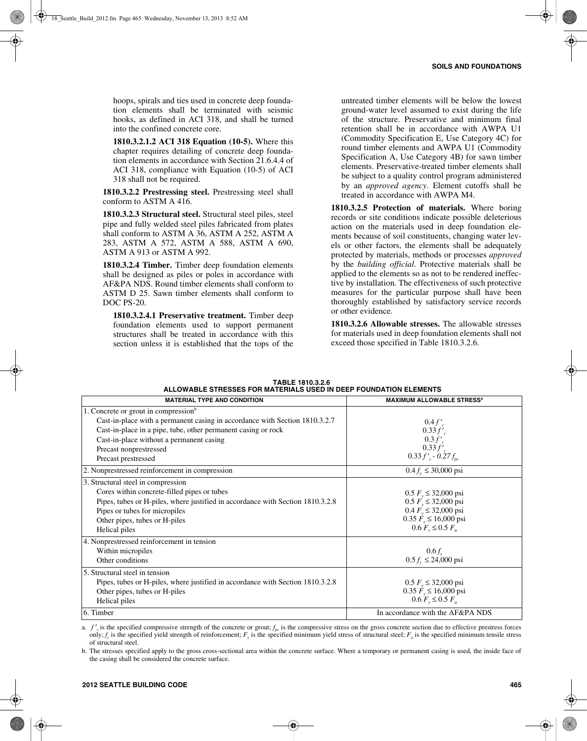hoops, spirals and ties used in concrete deep foundation elements shall be terminated with seismic hooks, as defined in ACI 318, and shall be turned into the confined concrete core.

**1810.3.2.1.2 ACI 318 Equation (10-5).** Where this chapter requires detailing of concrete deep foundation elements in accordance with Section 21.6.4.4 of ACI 318, compliance with Equation (10-5) of ACI 318 shall not be required.

**1810.3.2.2 Prestressing steel.** Prestressing steel shall conform to ASTM A 416.

**1810.3.2.3 Structural steel.** Structural steel piles, steel pipe and fully welded steel piles fabricated from plates shall conform to ASTM A 36, ASTM A 252, ASTM A 283, ASTM A 572, ASTM A 588, ASTM A 690, ASTM A 913 or ASTM A 992.

**1810.3.2.4 Timber.** Timber deep foundation elements shall be designed as piles or poles in accordance with AF&PA NDS. Round timber elements shall conform to ASTM D 25. Sawn timber elements shall conform to DOC PS-20.

**1810.3.2.4.1 Preservative treatment.** Timber deep foundation elements used to support permanent structures shall be treated in accordance with this section unless it is established that the tops of the

untreated timber elements will be below the lowest ground-water level assumed to exist during the life of the structure. Preservative and minimum final retention shall be in accordance with AWPA U1 (Commodity Specification E, Use Category 4C) for round timber elements and AWPA U1 (Commodity Specification A, Use Category 4B) for sawn timber elements. Preservative-treated timber elements shall be subject to a quality control program administered by an *approved agency*. Element cutoffs shall be treated in accordance with AWPA M4.

**1810.3.2.5 Protection of materials.** Where boring records or site conditions indicate possible deleterious action on the materials used in deep foundation elements because of soil constituents, changing water levels or other factors, the elements shall be adequately protected by materials, methods or processes *approved* by the *building official*. Protective materials shall be applied to the elements so as not to be rendered ineffective by installation. The effectiveness of such protective measures for the particular purpose shall have been thoroughly established by satisfactory service records or other evidence.

**1810.3.2.6 Allowable stresses.** The allowable stresses for materials used in deep foundation elements shall not exceed those specified in Table 1810.3.2.6.

| TABLE 1810.3.2.6                                                  |  |
|-------------------------------------------------------------------|--|
| ALLOWABLE STRESSES FOR MATERIALS USED IN DEEP FOUNDATION ELEMENTS |  |
|                                                                   |  |

| <b>MATERIAL TYPE AND CONDITION</b>                                                                                              | <b>MAXIMUM ALLOWABLE STRESS<sup>a</sup></b> |
|---------------------------------------------------------------------------------------------------------------------------------|---------------------------------------------|
| 1. Concrete or grout in compression <sup>b</sup><br>Cast-in-place with a permanent casing in accordance with Section 1810.3.2.7 |                                             |
| Cast-in-place in a pipe, tube, other permanent casing or rock                                                                   | $0.4 f'_{c}$<br>0.33 f'                     |
| Cast-in-place without a permanent casing                                                                                        | 0.3 f'                                      |
| Precast nonprestressed                                                                                                          | $0.33 f'_{c}$                               |
| Precast prestressed                                                                                                             | $0.33 f'_{c}$ - $0.27 f_{pc}$               |
| 2. Nonprestressed reinforcement in compression                                                                                  | $0.4 f_v \leq 30,000 \text{ psi}$           |
| 3. Structural steel in compression                                                                                              |                                             |
| Cores within concrete-filled pipes or tubes                                                                                     | $0.5 F_v \leq 32,000 \text{ psi}$           |
| Pipes, tubes or H-piles, where justified in accordance with Section 1810.3.2.8                                                  | $0.5 F_v \leq 32,000 \text{ psi}$           |
| Pipes or tubes for micropiles                                                                                                   | $0.4 F_v \leq 32,000 \text{ psi}$           |
| Other pipes, tubes or H-piles                                                                                                   | $0.35 \dot{F}_y \le 16,000 \text{ psi}$     |
| Helical piles                                                                                                                   | $0.6 F_v \leq 0.5 F_u$                      |
| 4. Nonprestressed reinforcement in tension                                                                                      |                                             |
| Within micropiles                                                                                                               | $0.6 f_{v}$                                 |
| Other conditions                                                                                                                | $0.5 fy \le 24,000 \text{ psi}$             |
| 5. Structural steel in tension                                                                                                  |                                             |
| Pipes, tubes or H-piles, where justified in accordance with Section 1810.3.2.8                                                  | $0.5 F_v \leq 32,000 \text{ psi}$           |
| Other pipes, tubes or H-piles                                                                                                   | $0.35 \dot{F}_y \le 16,000 \text{ psi}$     |
| Helical piles                                                                                                                   | $0.6 F_v \le 0.5 F_u$                       |
| 6. Timber                                                                                                                       | In accordance with the AF&PA NDS            |

a.  $f'_{c}$  is the specified compressive strength of the concrete or grout;  $f_{pc}$  is the compressive stress on the gross concrete section due to effective prestress forces only;  $f_y$  is the specified yield strength of reinforcement;  $F_y$  is the specified minimum yield stress of structural steel;  $F_u$  is the specified minimum tensile stress of structural steel.

b. The stresses specified apply to the gross cross-sectional area within the concrete surface. Where a temporary or permanent casing is used, the inside face of the casing shall be considered the concrete surface.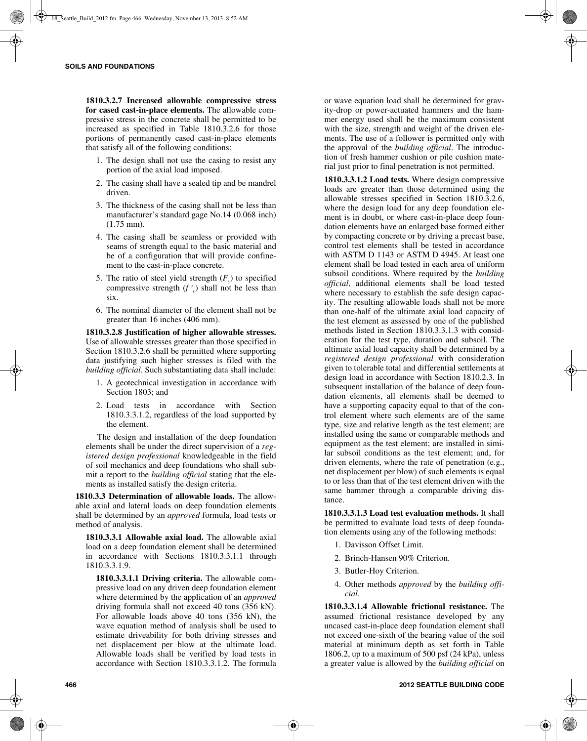**1810.3.2.7 Increased allowable compressive stress for cased cast-in-place elements.** The allowable compressive stress in the concrete shall be permitted to be increased as specified in Table 1810.3.2.6 for those portions of permanently cased cast-in-place elements that satisfy all of the following conditions:

- 1. The design shall not use the casing to resist any portion of the axial load imposed.
- 2. The casing shall have a sealed tip and be mandrel driven.
- 3. The thickness of the casing shall not be less than manufacturer's standard gage No.14 (0.068 inch) (1.75 mm).
- 4. The casing shall be seamless or provided with seams of strength equal to the basic material and be of a configuration that will provide confinement to the cast-in-place concrete.
- 5. The ratio of steel yield strength  $(F<sub>x</sub>)$  to specified compressive strength (*f* ′ *<sup>c</sup>*) shall not be less than six.
- 6. The nominal diameter of the element shall not be greater than 16 inches (406 mm).

**1810.3.2.8 Justification of higher allowable stresses.** Use of allowable stresses greater than those specified in Section 1810.3.2.6 shall be permitted where supporting data justifying such higher stresses is filed with the *building official*. Such substantiating data shall include:

- 1. A geotechnical investigation in accordance with Section 1803; and
- 2. Load tests in accordance with Section 1810.3.3.1.2, regardless of the load supported by the element.

The design and installation of the deep foundation elements shall be under the direct supervision of a *registered design professional* knowledgeable in the field of soil mechanics and deep foundations who shall submit a report to the *building official* stating that the elements as installed satisfy the design criteria.

**1810.3.3 Determination of allowable loads.** The allowable axial and lateral loads on deep foundation elements shall be determined by an *approved* formula, load tests or method of analysis.

**1810.3.3.1 Allowable axial load.** The allowable axial load on a deep foundation element shall be determined in accordance with Sections 1810.3.3.1.1 through 1810.3.3.1.9.

**1810.3.3.1.1 Driving criteria.** The allowable compressive load on any driven deep foundation element where determined by the application of an *approved* driving formula shall not exceed 40 tons (356 kN). For allowable loads above 40 tons (356 kN), the wave equation method of analysis shall be used to estimate driveability for both driving stresses and net displacement per blow at the ultimate load. Allowable loads shall be verified by load tests in accordance with Section 1810.3.3.1.2. The formula

or wave equation load shall be determined for gravity-drop or power-actuated hammers and the hammer energy used shall be the maximum consistent with the size, strength and weight of the driven elements. The use of a follower is permitted only with the approval of the *building official*. The introduction of fresh hammer cushion or pile cushion material just prior to final penetration is not permitted.

**1810.3.3.1.2 Load tests.** Where design compressive loads are greater than those determined using the allowable stresses specified in Section 1810.3.2.6, where the design load for any deep foundation element is in doubt, or where cast-in-place deep foundation elements have an enlarged base formed either by compacting concrete or by driving a precast base, control test elements shall be tested in accordance with ASTM D 1143 or ASTM D 4945. At least one element shall be load tested in each area of uniform subsoil conditions. Where required by the *building official*, additional elements shall be load tested where necessary to establish the safe design capacity. The resulting allowable loads shall not be more than one-half of the ultimate axial load capacity of the test element as assessed by one of the published methods listed in Section 1810.3.3.1.3 with consideration for the test type, duration and subsoil. The ultimate axial load capacity shall be determined by a *registered design professional* with consideration given to tolerable total and differential settlements at design load in accordance with Section 1810.2.3. In subsequent installation of the balance of deep foundation elements, all elements shall be deemed to have a supporting capacity equal to that of the control element where such elements are of the same type, size and relative length as the test element; are installed using the same or comparable methods and equipment as the test element; are installed in similar subsoil conditions as the test element; and, for driven elements, where the rate of penetration (e.g., net displacement per blow) of such elements is equal to or less than that of the test element driven with the same hammer through a comparable driving distance.

**1810.3.3.1.3 Load test evaluation methods.** It shall be permitted to evaluate load tests of deep foundation elements using any of the following methods:

- 1. Davisson Offset Limit.
- 2. Brinch-Hansen 90% Criterion.
- 3. Butler-Hoy Criterion.
- 4. Other methods *approved* by the *building official*.

**1810.3.3.1.4 Allowable frictional resistance.** The assumed frictional resistance developed by any uncased cast-in-place deep foundation element shall not exceed one-sixth of the bearing value of the soil material at minimum depth as set forth in Table 1806.2, up to a maximum of 500 psf (24 kPa), unless a greater value is allowed by the *building official* on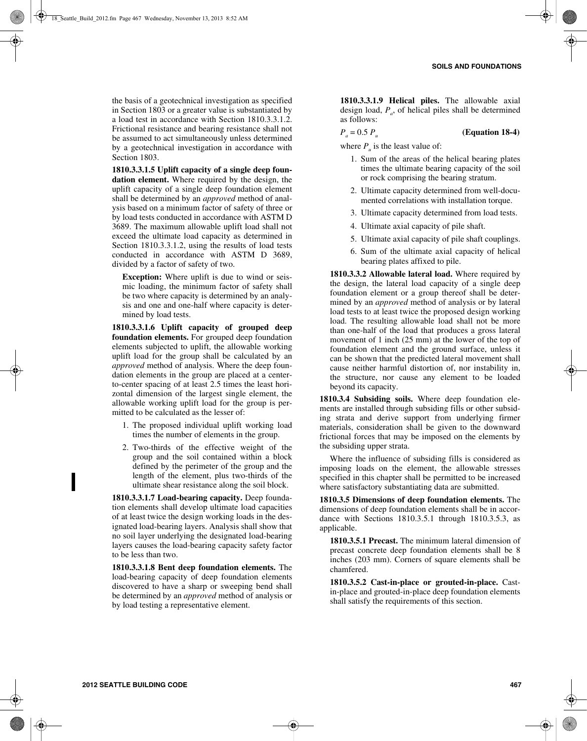the basis of a geotechnical investigation as specified in Section 1803 or a greater value is substantiated by a load test in accordance with Section 1810.3.3.1.2. Frictional resistance and bearing resistance shall not be assumed to act simultaneously unless determined by a geotechnical investigation in accordance with Section 1803.

**1810.3.3.1.5 Uplift capacity of a single deep foundation element.** Where required by the design, the uplift capacity of a single deep foundation element shall be determined by an *approved* method of analysis based on a minimum factor of safety of three or by load tests conducted in accordance with ASTM D 3689. The maximum allowable uplift load shall not exceed the ultimate load capacity as determined in Section 1810.3.3.1.2, using the results of load tests conducted in accordance with ASTM D 3689, divided by a factor of safety of two.

**Exception:** Where uplift is due to wind or seismic loading, the minimum factor of safety shall be two where capacity is determined by an analysis and one and one-half where capacity is determined by load tests.

**1810.3.3.1.6 Uplift capacity of grouped deep foundation elements.** For grouped deep foundation elements subjected to uplift, the allowable working uplift load for the group shall be calculated by an *approved* method of analysis. Where the deep foundation elements in the group are placed at a centerto-center spacing of at least 2.5 times the least horizontal dimension of the largest single element, the allowable working uplift load for the group is permitted to be calculated as the lesser of:

- 1. The proposed individual uplift working load times the number of elements in the group.
- 2. Two-thirds of the effective weight of the group and the soil contained within a block defined by the perimeter of the group and the length of the element, plus two-thirds of the ultimate shear resistance along the soil block.

**1810.3.3.1.7 Load-bearing capacity.** Deep foundation elements shall develop ultimate load capacities of at least twice the design working loads in the designated load-bearing layers. Analysis shall show that no soil layer underlying the designated load-bearing layers causes the load-bearing capacity safety factor to be less than two.

**1810.3.3.1.8 Bent deep foundation elements.** The load-bearing capacity of deep foundation elements discovered to have a sharp or sweeping bend shall be determined by an *approved* method of analysis or by load testing a representative element.

**1810.3.3.1.9 Helical piles.** The allowable axial design load,  $P_a$ , of helical piles shall be determined as follows:

 $P_a = 0.5 P_u$  (Equation 18-4)

where  $P_{\mu}$  is the least value of:

- 1. Sum of the areas of the helical bearing plates times the ultimate bearing capacity of the soil or rock comprising the bearing stratum.
- 2. Ultimate capacity determined from well-documented correlations with installation torque.
- 3. Ultimate capacity determined from load tests.
- 4. Ultimate axial capacity of pile shaft.
- 5. Ultimate axial capacity of pile shaft couplings.
- 6. Sum of the ultimate axial capacity of helical bearing plates affixed to pile.

**1810.3.3.2 Allowable lateral load.** Where required by the design, the lateral load capacity of a single deep foundation element or a group thereof shall be determined by an *approved* method of analysis or by lateral load tests to at least twice the proposed design working load. The resulting allowable load shall not be more than one-half of the load that produces a gross lateral movement of 1 inch (25 mm) at the lower of the top of foundation element and the ground surface, unless it can be shown that the predicted lateral movement shall cause neither harmful distortion of, nor instability in, the structure, nor cause any element to be loaded beyond its capacity.

**1810.3.4 Subsiding soils.** Where deep foundation elements are installed through subsiding fills or other subsiding strata and derive support from underlying firmer materials, consideration shall be given to the downward frictional forces that may be imposed on the elements by the subsiding upper strata.

Where the influence of subsiding fills is considered as imposing loads on the element, the allowable stresses specified in this chapter shall be permitted to be increased where satisfactory substantiating data are submitted.

**1810.3.5 Dimensions of deep foundation elements.** The dimensions of deep foundation elements shall be in accordance with Sections 1810.3.5.1 through 1810.3.5.3, as applicable.

**1810.3.5.1 Precast.** The minimum lateral dimension of precast concrete deep foundation elements shall be 8 inches (203 mm). Corners of square elements shall be chamfered.

**1810.3.5.2 Cast-in-place or grouted-in-place.** Castin-place and grouted-in-place deep foundation elements shall satisfy the requirements of this section.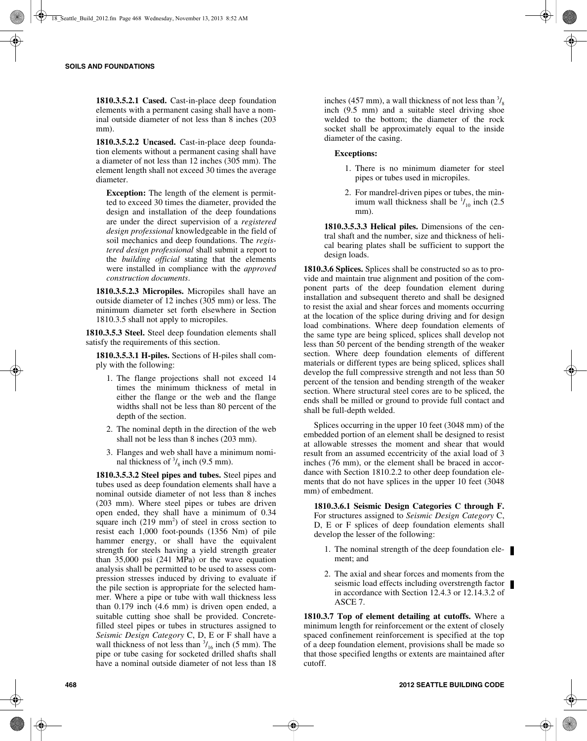**1810.3.5.2.1 Cased.** Cast-in-place deep foundation elements with a permanent casing shall have a nominal outside diameter of not less than 8 inches (203 mm).

**1810.3.5.2.2 Uncased.** Cast-in-place deep foundation elements without a permanent casing shall have a diameter of not less than 12 inches (305 mm). The element length shall not exceed 30 times the average diameter.

**Exception:** The length of the element is permitted to exceed 30 times the diameter, provided the design and installation of the deep foundations are under the direct supervision of a *registered design professional* knowledgeable in the field of soil mechanics and deep foundations. The *registered design professional* shall submit a report to the *building official* stating that the elements were installed in compliance with the *approved construction documents*.

**1810.3.5.2.3 Micropiles.** Micropiles shall have an outside diameter of 12 inches (305 mm) or less. The minimum diameter set forth elsewhere in Section 1810.3.5 shall not apply to micropiles.

**1810.3.5.3 Steel.** Steel deep foundation elements shall satisfy the requirements of this section.

**1810.3.5.3.1 H-piles.** Sections of H-piles shall comply with the following:

- 1. The flange projections shall not exceed 14 times the minimum thickness of metal in either the flange or the web and the flange widths shall not be less than 80 percent of the depth of the section.
- 2. The nominal depth in the direction of the web shall not be less than 8 inches (203 mm).
- 3. Flanges and web shall have a minimum nominal thickness of  $\frac{3}{8}$  inch (9.5 mm).

**1810.3.5.3.2 Steel pipes and tubes.** Steel pipes and tubes used as deep foundation elements shall have a nominal outside diameter of not less than 8 inches (203 mm). Where steel pipes or tubes are driven open ended, they shall have a minimum of 0.34 square inch  $(219 \text{ mm}^2)$  of steel in cross section to resist each 1,000 foot-pounds (1356 Nm) of pile hammer energy, or shall have the equivalent strength for steels having a yield strength greater than 35,000 psi (241 MPa) or the wave equation analysis shall be permitted to be used to assess compression stresses induced by driving to evaluate if the pile section is appropriate for the selected hammer. Where a pipe or tube with wall thickness less than 0.179 inch (4.6 mm) is driven open ended, a suitable cutting shoe shall be provided. Concretefilled steel pipes or tubes in structures assigned to *Seismic Design Category* C, D, E or F shall have a wall thickness of not less than  $\frac{3}{16}$  inch (5 mm). The pipe or tube casing for socketed drilled shafts shall have a nominal outside diameter of not less than 18

inches (457 mm), a wall thickness of not less than  $\frac{3}{8}$ inch (9.5 mm) and a suitable steel driving shoe welded to the bottom; the diameter of the rock socket shall be approximately equal to the inside diameter of the casing.

#### **Exceptions:**

- 1. There is no minimum diameter for steel pipes or tubes used in micropiles.
- 2. For mandrel-driven pipes or tubes, the minimum wall thickness shall be  $\frac{1}{10}$  inch (2.5) mm).

**1810.3.5.3.3 Helical piles.** Dimensions of the central shaft and the number, size and thickness of helical bearing plates shall be sufficient to support the design loads.

**1810.3.6 Splices.** Splices shall be constructed so as to provide and maintain true alignment and position of the component parts of the deep foundation element during installation and subsequent thereto and shall be designed to resist the axial and shear forces and moments occurring at the location of the splice during driving and for design load combinations. Where deep foundation elements of the same type are being spliced, splices shall develop not less than 50 percent of the bending strength of the weaker section. Where deep foundation elements of different materials or different types are being spliced, splices shall develop the full compressive strength and not less than 50 percent of the tension and bending strength of the weaker section. Where structural steel cores are to be spliced, the ends shall be milled or ground to provide full contact and shall be full-depth welded.

Splices occurring in the upper 10 feet (3048 mm) of the embedded portion of an element shall be designed to resist at allowable stresses the moment and shear that would result from an assumed eccentricity of the axial load of 3 inches (76 mm), or the element shall be braced in accordance with Section 1810.2.2 to other deep foundation elements that do not have splices in the upper 10 feet (3048 mm) of embedment.

**1810.3.6.1 Seismic Design Categories C through F.** For structures assigned to *Seismic Design Category* C, D, E or F splices of deep foundation elements shall develop the lesser of the following:

- 1. The nominal strength of the deep foundation element; and
- 2. The axial and shear forces and moments from the seismic load effects including overstrength factor in accordance with Section 12.4.3 or 12.14.3.2 of ASCE 7.

**1810.3.7 Top of element detailing at cutoffs.** Where a minimum length for reinforcement or the extent of closely spaced confinement reinforcement is specified at the top of a deep foundation element, provisions shall be made so that those specified lengths or extents are maintained after cutoff.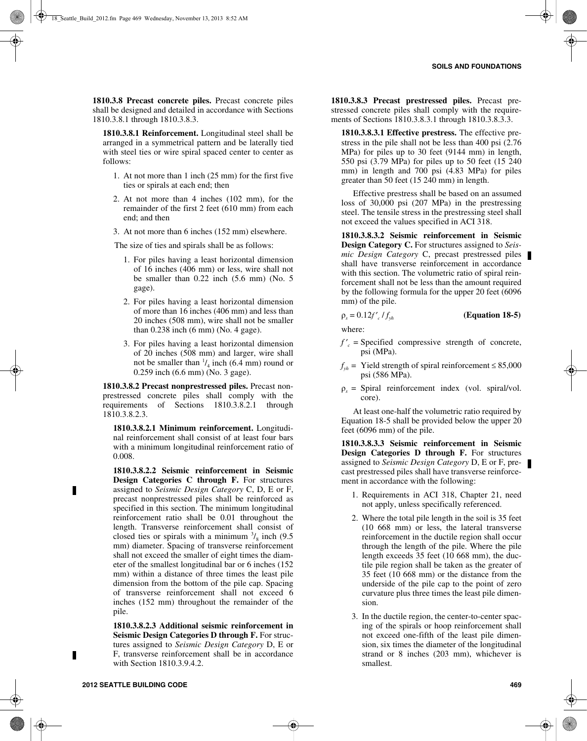**1810.3.8 Precast concrete piles.** Precast concrete piles shall be designed and detailed in accordance with Sections 1810.3.8.1 through 1810.3.8.3.

**1810.3.8.1 Reinforcement.** Longitudinal steel shall be arranged in a symmetrical pattern and be laterally tied with steel ties or wire spiral spaced center to center as follows:

- 1. At not more than 1 inch (25 mm) for the first five ties or spirals at each end; then
- 2. At not more than 4 inches (102 mm), for the remainder of the first 2 feet (610 mm) from each end; and then
- 3. At not more than 6 inches (152 mm) elsewhere.

The size of ties and spirals shall be as follows:

- 1. For piles having a least horizontal dimension of 16 inches (406 mm) or less, wire shall not be smaller than 0.22 inch (5.6 mm) (No. 5 gage).
- 2. For piles having a least horizontal dimension of more than 16 inches (406 mm) and less than 20 inches (508 mm), wire shall not be smaller than 0.238 inch (6 mm) (No. 4 gage).
- 3. For piles having a least horizontal dimension of 20 inches (508 mm) and larger, wire shall not be smaller than  $\frac{1}{4}$  inch (6.4 mm) round or 0.259 inch (6.6 mm) (No. 3 gage).

**1810.3.8.2 Precast nonprestressed piles.** Precast nonprestressed concrete piles shall comply with the requirements of Sections 1810.3.8.2.1 through 1810.3.8.2.3.

**1810.3.8.2.1 Minimum reinforcement.** Longitudinal reinforcement shall consist of at least four bars with a minimum longitudinal reinforcement ratio of 0.008.

**1810.3.8.2.2 Seismic reinforcement in Seismic Design Categories C through F.** For structures assigned to *Seismic Design Category* C, D, E or F, precast nonprestressed piles shall be reinforced as specified in this section. The minimum longitudinal reinforcement ratio shall be 0.01 throughout the length. Transverse reinforcement shall consist of closed ties or spirals with a minimum  $\frac{3}{8}$  inch (9.5) mm) diameter. Spacing of transverse reinforcement shall not exceed the smaller of eight times the diameter of the smallest longitudinal bar or 6 inches (152 mm) within a distance of three times the least pile dimension from the bottom of the pile cap. Spacing of transverse reinforcement shall not exceed 6 inches (152 mm) throughout the remainder of the pile.

**1810.3.8.2.3 Additional seismic reinforcement in Seismic Design Categories D through F.** For structures assigned to *Seismic Design Category* D, E or F, transverse reinforcement shall be in accordance with Section 1810.3.9.4.2.

**1810.3.8.3 Precast prestressed piles.** Precast prestressed concrete piles shall comply with the requirements of Sections 1810.3.8.3.1 through 1810.3.8.3.3.

**1810.3.8.3.1 Effective prestress.** The effective prestress in the pile shall not be less than 400 psi (2.76 MPa) for piles up to 30 feet (9144 mm) in length, 550 psi (3.79 MPa) for piles up to 50 feet (15 240 mm) in length and 700 psi (4.83 MPa) for piles greater than 50 feet (15 240 mm) in length.

Effective prestress shall be based on an assumed loss of 30,000 psi (207 MPa) in the prestressing steel. The tensile stress in the prestressing steel shall not exceed the values specified in ACI 318.

**1810.3.8.3.2 Seismic reinforcement in Seismic Design Category C.** For structures assigned to *Seismic Design Category* C, precast prestressed piles shall have transverse reinforcement in accordance with this section. The volumetric ratio of spiral reinforcement shall not be less than the amount required by the following formula for the upper 20 feet (6096 mm) of the pile.

$$
\rho_s = 0.12 f'_c / f_{sh} \tag{Equation 18-5}
$$

where:

- $f'_{c}$  = Specified compressive strength of concrete, psi (MPa).
- $f_{vh}$  = Yield strength of spiral reinforcement ≤ 85,000 psi (586 MPa).
- $\rho_s$  = Spiral reinforcement index (vol. spiral/vol. core).

At least one-half the volumetric ratio required by Equation 18-5 shall be provided below the upper 20 feet (6096 mm) of the pile.

**1810.3.8.3.3 Seismic reinforcement in Seismic Design Categories D through F.** For structures assigned to *Seismic Design Category* D, E or F, precast prestressed piles shall have transverse reinforcement in accordance with the following:

- 1. Requirements in ACI 318, Chapter 21, need not apply, unless specifically referenced.
- 2. Where the total pile length in the soil is 35 feet (10 668 mm) or less, the lateral transverse reinforcement in the ductile region shall occur through the length of the pile. Where the pile length exceeds 35 feet (10 668 mm), the ductile pile region shall be taken as the greater of 35 feet (10 668 mm) or the distance from the underside of the pile cap to the point of zero curvature plus three times the least pile dimension.
- 3. In the ductile region, the center-to-center spacing of the spirals or hoop reinforcement shall not exceed one-fifth of the least pile dimension, six times the diameter of the longitudinal strand or 8 inches (203 mm), whichever is smallest.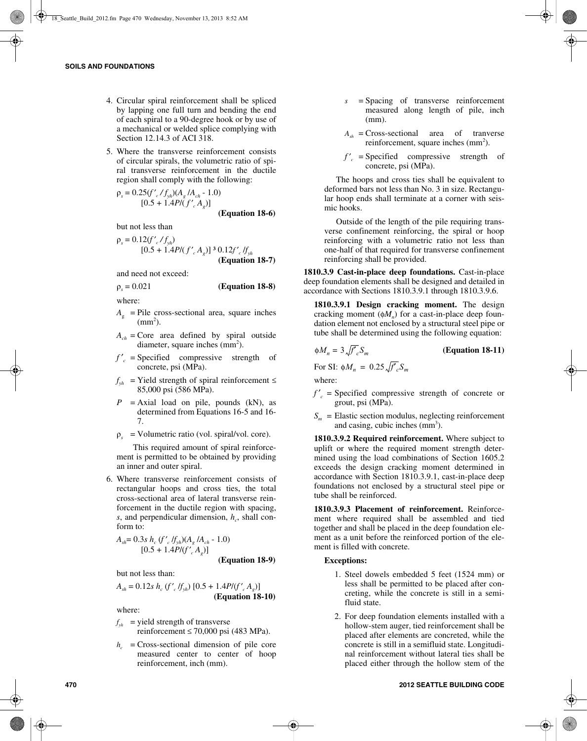- 4. Circular spiral reinforcement shall be spliced by lapping one full turn and bending the end of each spiral to a 90-degree hook or by use of a mechanical or welded splice complying with Section 12.14.3 of ACI 318.
- 5. Where the transverse reinforcement consists of circular spirals, the volumetric ratio of spiral transverse reinforcement in the ductile region shall comply with the following:

$$
\rho_s = 0.25(f'_c/f_{yh})(A_g/A_{ch} - 1.0)
$$
  
[0.5 + 1.4P/(f'\_c A\_g)]  
(Equation 18-6)

but not less than

$$
\rho_s = 0.12(f'_{c}/f_{yh})
$$
  
[0.5 + 1.4P/(f'\_{c}A\_g)]<sup>3</sup>0.12f'\_{c}/f\_{yh}  
(Equation 18-7)

and need not exceed:

$$
\rho_s = 0.021 \qquad \qquad \textbf{(Equation 18-8)}
$$

where:

- $A_{\alpha}$  = Pile cross-sectional area, square inches  $\text{(mm}^2)$ .
- $A_{ch}$  = Core area defined by spiral outside diameter, square inches  $\text{(mm}^2)$ .
- $f'_c$  = Specified compressive strength of concrete, psi (MPa).
- $f_{wh}$  = Yield strength of spiral reinforcement  $\leq$ 85,000 psi (586 MPa).
- $P$  = Axial load on pile, pounds (kN), as determined from Equations 16-5 and 16- 7.
- ρ*<sup>s</sup>* = Volumetric ratio (vol. spiral/vol. core).

This required amount of spiral reinforcement is permitted to be obtained by providing an inner and outer spiral.

6. Where transverse reinforcement consists of rectangular hoops and cross ties, the total cross-sectional area of lateral transverse reinforcement in the ductile region with spacing, *s*, and perpendicular dimension,  $h_c$ , shall conform to:

$$
A_{sh} = 0.3s h_c (f'_c/f_{sh})(A_g/A_{ch} - 1.0)
$$
  
[0.5 + 1.4P/(f'\_c A\_g)] (Equation 18-9)

but not less than:

$$
A_{sh} = 0.12s \ h_c \left(f'_{c} / f_{sh}\right) [0.5 + 1.4P/(f'_{c} A_{g})]
$$
  
(Equation 18-10)

where:

- $f_{yh}$  = yield strength of transverse reinforcement  $\leq 70,000$  psi (483 MPa).
- $h_c$  = Cross-sectional dimension of pile core measured center to center of hoop reinforcement, inch (mm).
- *s* = Spacing of transverse reinforcement measured along length of pile, inch  $(mm)$
- $A_{sh}$  = Cross-sectional area of tranverse reinforcement, square inches  $\text{(mm}^2)$ .
- $f'_{c}$  = Specified compressive strength of concrete, psi (MPa).

The hoops and cross ties shall be equivalent to deformed bars not less than No. 3 in size. Rectangular hoop ends shall terminate at a corner with seismic hooks.

Outside of the length of the pile requiring transverse confinement reinforcing, the spiral or hoop reinforcing with a volumetric ratio not less than one-half of that required for transverse confinement reinforcing shall be provided.

**1810.3.9 Cast-in-place deep foundations.** Cast-in-place deep foundation elements shall be designed and detailed in accordance with Sections 1810.3.9.1 through 1810.3.9.6.

**1810.3.9.1 Design cracking moment.** The design cracking moment  $(\phi M_n)$  for a cast-in-place deep foundation element not enclosed by a structural steel pipe or tube shall be determined using the following equation:

$$
\phi M_n = 3 \sqrt{f'}_c S_m
$$

**(Equation 18-11)**

For SI:  $\phi M_n = 0.25 \sqrt{f'_c} S_m$ 

where:

- $f'_{c}$  = Specified compressive strength of concrete or grout, psi (MPa).
- $S_m$  = Elastic section modulus, neglecting reinforcement and casing, cubic inches  $\text{(mm)}^3$ ).

**1810.3.9.2 Required reinforcement.** Where subject to uplift or where the required moment strength determined using the load combinations of Section 1605.2 exceeds the design cracking moment determined in accordance with Section 1810.3.9.1, cast-in-place deep foundations not enclosed by a structural steel pipe or tube shall be reinforced.

**1810.3.9.3 Placement of reinforcement.** Reinforcement where required shall be assembled and tied together and shall be placed in the deep foundation element as a unit before the reinforced portion of the element is filled with concrete.

## **Exceptions:**

- 1. Steel dowels embedded 5 feet (1524 mm) or less shall be permitted to be placed after concreting, while the concrete is still in a semifluid state.
- 2. For deep foundation elements installed with a hollow-stem auger, tied reinforcement shall be placed after elements are concreted, while the concrete is still in a semifluid state. Longitudinal reinforcement without lateral ties shall be placed either through the hollow stem of the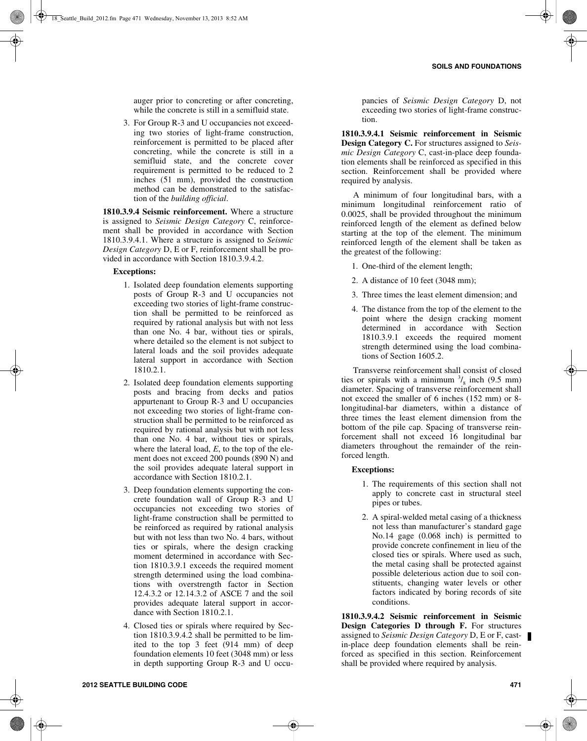auger prior to concreting or after concreting, while the concrete is still in a semifluid state.

3. For Group R-3 and U occupancies not exceeding two stories of light-frame construction, reinforcement is permitted to be placed after concreting, while the concrete is still in a semifluid state, and the concrete cover requirement is permitted to be reduced to 2 inches (51 mm), provided the construction method can be demonstrated to the satisfaction of the *building official*.

**1810.3.9.4 Seismic reinforcement.** Where a structure is assigned to *Seismic Design Category* C, reinforcement shall be provided in accordance with Section 1810.3.9.4.1. Where a structure is assigned to *Seismic Design Category* D, E or F, reinforcement shall be provided in accordance with Section 1810.3.9.4.2.

#### **Exceptions:**

- 1. Isolated deep foundation elements supporting posts of Group R-3 and U occupancies not exceeding two stories of light-frame construction shall be permitted to be reinforced as required by rational analysis but with not less than one No. 4 bar, without ties or spirals, where detailed so the element is not subject to lateral loads and the soil provides adequate lateral support in accordance with Section 1810.2.1.
- 2. Isolated deep foundation elements supporting posts and bracing from decks and patios appurtenant to Group R-3 and U occupancies not exceeding two stories of light-frame construction shall be permitted to be reinforced as required by rational analysis but with not less than one No. 4 bar, without ties or spirals, where the lateral load, *E*, to the top of the element does not exceed 200 pounds (890 N) and the soil provides adequate lateral support in accordance with Section 1810.2.1.
- 3. Deep foundation elements supporting the concrete foundation wall of Group R-3 and U occupancies not exceeding two stories of light-frame construction shall be permitted to be reinforced as required by rational analysis but with not less than two No. 4 bars, without ties or spirals, where the design cracking moment determined in accordance with Section 1810.3.9.1 exceeds the required moment strength determined using the load combinations with overstrength factor in Section 12.4.3.2 or 12.14.3.2 of ASCE 7 and the soil provides adequate lateral support in accordance with Section 1810.2.1.
- 4. Closed ties or spirals where required by Section 1810.3.9.4.2 shall be permitted to be limited to the top 3 feet (914 mm) of deep foundation elements 10 feet (3048 mm) or less in depth supporting Group R-3 and U occu-

pancies of *Seismic Design Category* D, not exceeding two stories of light-frame construction.

**1810.3.9.4.1 Seismic reinforcement in Seismic Design Category C.** For structures assigned to *Seismic Design Category* C, cast-in-place deep foundation elements shall be reinforced as specified in this section. Reinforcement shall be provided where required by analysis.

A minimum of four longitudinal bars, with a minimum longitudinal reinforcement ratio of 0.0025, shall be provided throughout the minimum reinforced length of the element as defined below starting at the top of the element. The minimum reinforced length of the element shall be taken as the greatest of the following:

- 1. One-third of the element length;
- 2. A distance of 10 feet (3048 mm);
- 3. Three times the least element dimension; and
- 4. The distance from the top of the element to the point where the design cracking moment determined in accordance with Section 1810.3.9.1 exceeds the required moment strength determined using the load combinations of Section 1605.2.

Transverse reinforcement shall consist of closed ties or spirals with a minimum  $\frac{3}{8}$  inch (9.5 mm) diameter. Spacing of transverse reinforcement shall not exceed the smaller of 6 inches (152 mm) or 8 longitudinal-bar diameters, within a distance of three times the least element dimension from the bottom of the pile cap. Spacing of transverse reinforcement shall not exceed 16 longitudinal bar diameters throughout the remainder of the reinforced length.

#### **Exceptions:**

- 1. The requirements of this section shall not apply to concrete cast in structural steel pipes or tubes.
- 2. A spiral-welded metal casing of a thickness not less than manufacturer's standard gage No.14 gage (0.068 inch) is permitted to provide concrete confinement in lieu of the closed ties or spirals. Where used as such, the metal casing shall be protected against possible deleterious action due to soil constituents, changing water levels or other factors indicated by boring records of site conditions.

**1810.3.9.4.2 Seismic reinforcement in Seismic Design Categories D through F.** For structures assigned to *Seismic Design Category* D, E or F, castin-place deep foundation elements shall be reinforced as specified in this section. Reinforcement shall be provided where required by analysis.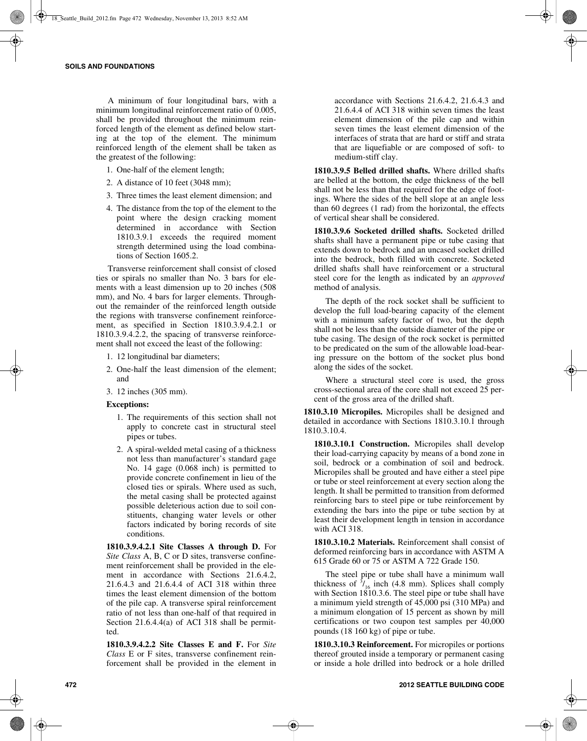A minimum of four longitudinal bars, with a minimum longitudinal reinforcement ratio of 0.005, shall be provided throughout the minimum reinforced length of the element as defined below starting at the top of the element. The minimum reinforced length of the element shall be taken as the greatest of the following:

- 1. One-half of the element length;
- 2. A distance of 10 feet (3048 mm);
- 3. Three times the least element dimension; and
- 4. The distance from the top of the element to the point where the design cracking moment determined in accordance with Section 1810.3.9.1 exceeds the required moment strength determined using the load combinations of Section 1605.2.

Transverse reinforcement shall consist of closed ties or spirals no smaller than No. 3 bars for elements with a least dimension up to 20 inches (508 mm), and No. 4 bars for larger elements. Throughout the remainder of the reinforced length outside the regions with transverse confinement reinforcement, as specified in Section 1810.3.9.4.2.1 or 1810.3.9.4.2.2, the spacing of transverse reinforcement shall not exceed the least of the following:

- 1. 12 longitudinal bar diameters;
- 2. One-half the least dimension of the element; and
- 3. 12 inches (305 mm).

#### **Exceptions:**

- 1. The requirements of this section shall not apply to concrete cast in structural steel pipes or tubes.
- 2. A spiral-welded metal casing of a thickness not less than manufacturer's standard gage No. 14 gage (0.068 inch) is permitted to provide concrete confinement in lieu of the closed ties or spirals. Where used as such, the metal casing shall be protected against possible deleterious action due to soil constituents, changing water levels or other factors indicated by boring records of site conditions.

**1810.3.9.4.2.1 Site Classes A through D.** For *Site Class* A, B, C or D sites, transverse confinement reinforcement shall be provided in the element in accordance with Sections 21.6.4.2, 21.6.4.3 and 21.6.4.4 of ACI 318 within three times the least element dimension of the bottom of the pile cap. A transverse spiral reinforcement ratio of not less than one-half of that required in Section 21.6.4.4(a) of ACI 318 shall be permitted.

**1810.3.9.4.2.2 Site Classes E and F.** For *Site Class* E or F sites, transverse confinement reinforcement shall be provided in the element in

accordance with Sections 21.6.4.2, 21.6.4.3 and 21.6.4.4 of ACI 318 within seven times the least element dimension of the pile cap and within seven times the least element dimension of the interfaces of strata that are hard or stiff and strata that are liquefiable or are composed of soft- to medium-stiff clay.

**1810.3.9.5 Belled drilled shafts.** Where drilled shafts are belled at the bottom, the edge thickness of the bell shall not be less than that required for the edge of footings. Where the sides of the bell slope at an angle less than 60 degrees (1 rad) from the horizontal, the effects of vertical shear shall be considered.

**1810.3.9.6 Socketed drilled shafts.** Socketed drilled shafts shall have a permanent pipe or tube casing that extends down to bedrock and an uncased socket drilled into the bedrock, both filled with concrete. Socketed drilled shafts shall have reinforcement or a structural steel core for the length as indicated by an *approved* method of analysis.

The depth of the rock socket shall be sufficient to develop the full load-bearing capacity of the element with a minimum safety factor of two, but the depth shall not be less than the outside diameter of the pipe or tube casing. The design of the rock socket is permitted to be predicated on the sum of the allowable load-bearing pressure on the bottom of the socket plus bond along the sides of the socket.

Where a structural steel core is used, the gross cross-sectional area of the core shall not exceed 25 percent of the gross area of the drilled shaft.

**1810.3.10 Micropiles.** Micropiles shall be designed and detailed in accordance with Sections 1810.3.10.1 through 1810.3.10.4.

**1810.3.10.1 Construction.** Micropiles shall develop their load-carrying capacity by means of a bond zone in soil, bedrock or a combination of soil and bedrock. Micropiles shall be grouted and have either a steel pipe or tube or steel reinforcement at every section along the length. It shall be permitted to transition from deformed reinforcing bars to steel pipe or tube reinforcement by extending the bars into the pipe or tube section by at least their development length in tension in accordance with ACI 318.

**1810.3.10.2 Materials.** Reinforcement shall consist of deformed reinforcing bars in accordance with ASTM A 615 Grade 60 or 75 or ASTM A 722 Grade 150.

The steel pipe or tube shall have a minimum wall thickness of  $\frac{3}{16}$  inch (4.8 mm). Splices shall comply with Section 1810.3.6. The steel pipe or tube shall have a minimum yield strength of 45,000 psi (310 MPa) and a minimum elongation of 15 percent as shown by mill certifications or two coupon test samples per 40,000 pounds (18 160 kg) of pipe or tube.

**1810.3.10.3 Reinforcement.** For micropiles or portions thereof grouted inside a temporary or permanent casing or inside a hole drilled into bedrock or a hole drilled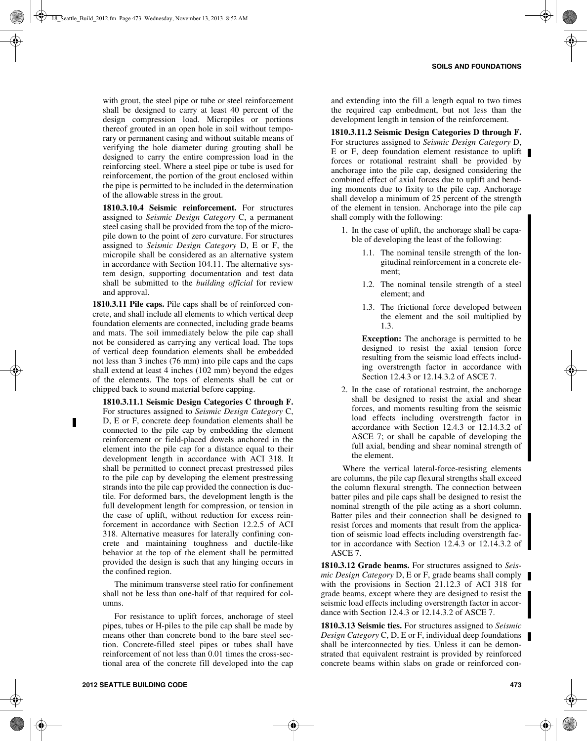with grout, the steel pipe or tube or steel reinforcement shall be designed to carry at least 40 percent of the design compression load. Micropiles or portions thereof grouted in an open hole in soil without temporary or permanent casing and without suitable means of verifying the hole diameter during grouting shall be designed to carry the entire compression load in the reinforcing steel. Where a steel pipe or tube is used for reinforcement, the portion of the grout enclosed within the pipe is permitted to be included in the determination of the allowable stress in the grout.

**1810.3.10.4 Seismic reinforcement.** For structures assigned to *Seismic Design Category* C, a permanent steel casing shall be provided from the top of the micropile down to the point of zero curvature. For structures assigned to *Seismic Design Category* D, E or F, the micropile shall be considered as an alternative system in accordance with Section 104.11. The alternative system design, supporting documentation and test data shall be submitted to the *building official* for review and approval.

**1810.3.11 Pile caps.** Pile caps shall be of reinforced concrete, and shall include all elements to which vertical deep foundation elements are connected, including grade beams and mats. The soil immediately below the pile cap shall not be considered as carrying any vertical load. The tops of vertical deep foundation elements shall be embedded not less than 3 inches (76 mm) into pile caps and the caps shall extend at least 4 inches (102 mm) beyond the edges of the elements. The tops of elements shall be cut or chipped back to sound material before capping.

**1810.3.11.1 Seismic Design Categories C through F.** For structures assigned to *Seismic Design Category* C, D, E or F, concrete deep foundation elements shall be connected to the pile cap by embedding the element reinforcement or field-placed dowels anchored in the element into the pile cap for a distance equal to their development length in accordance with ACI 318. It shall be permitted to connect precast prestressed piles to the pile cap by developing the element prestressing strands into the pile cap provided the connection is ductile. For deformed bars, the development length is the full development length for compression, or tension in the case of uplift, without reduction for excess reinforcement in accordance with Section 12.2.5 of ACI 318. Alternative measures for laterally confining concrete and maintaining toughness and ductile-like behavior at the top of the element shall be permitted provided the design is such that any hinging occurs in the confined region.

The minimum transverse steel ratio for confinement shall not be less than one-half of that required for columns.

For resistance to uplift forces, anchorage of steel pipes, tubes or H-piles to the pile cap shall be made by means other than concrete bond to the bare steel section. Concrete-filled steel pipes or tubes shall have reinforcement of not less than 0.01 times the cross-sectional area of the concrete fill developed into the cap

and extending into the fill a length equal to two times the required cap embedment, but not less than the development length in tension of the reinforcement.

**1810.3.11.2 Seismic Design Categories D through F.** For structures assigned to *Seismic Design Category* D, E or F, deep foundation element resistance to uplift forces or rotational restraint shall be provided by anchorage into the pile cap, designed considering the combined effect of axial forces due to uplift and bending moments due to fixity to the pile cap. Anchorage shall develop a minimum of 25 percent of the strength of the element in tension. Anchorage into the pile cap shall comply with the following:

- 1. In the case of uplift, the anchorage shall be capable of developing the least of the following:
	- 1.1. The nominal tensile strength of the longitudinal reinforcement in a concrete element;
	- 1.2. The nominal tensile strength of a steel element; and
	- 1.3. The frictional force developed between the element and the soil multiplied by 1.3.

**Exception:** The anchorage is permitted to be designed to resist the axial tension force resulting from the seismic load effects including overstrength factor in accordance with Section 12.4.3 or 12.14.3.2 of ASCE 7.

2. In the case of rotational restraint, the anchorage shall be designed to resist the axial and shear forces, and moments resulting from the seismic load effects including overstrength factor in accordance with Section 12.4.3 or 12.14.3.2 of ASCE 7; or shall be capable of developing the full axial, bending and shear nominal strength of the element.

Where the vertical lateral-force-resisting elements are columns, the pile cap flexural strengths shall exceed the column flexural strength. The connection between batter piles and pile caps shall be designed to resist the nominal strength of the pile acting as a short column. Batter piles and their connection shall be designed to resist forces and moments that result from the application of seismic load effects including overstrength factor in accordance with Section 12.4.3 or 12.14.3.2 of ASCE 7.

**1810.3.12 Grade beams.** For structures assigned to *Seismic Design Category* D, E or F, grade beams shall comply with the provisions in Section 21.12.3 of ACI 318 for grade beams, except where they are designed to resist the seismic load effects including overstrength factor in accordance with Section 12.4.3 or 12.14.3.2 of ASCE 7.

**1810.3.13 Seismic ties.** For structures assigned to *Seismic Design Category* C, D, E or F, individual deep foundations shall be interconnected by ties. Unless it can be demonstrated that equivalent restraint is provided by reinforced concrete beams within slabs on grade or reinforced con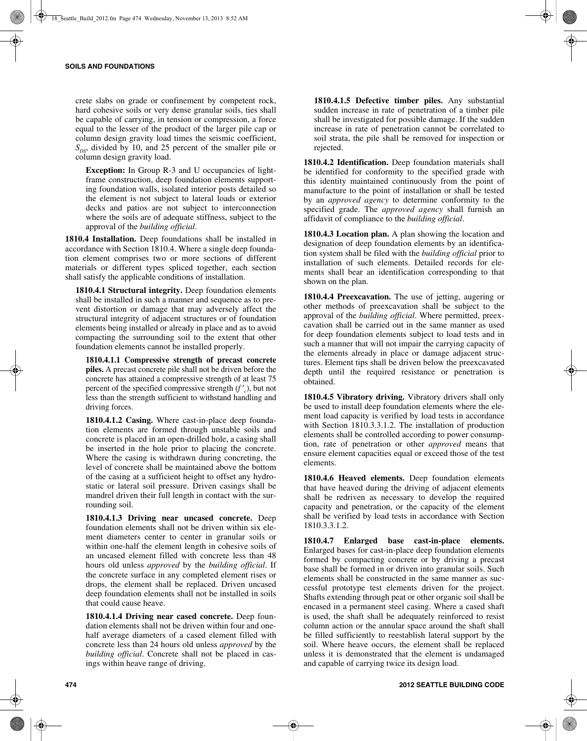crete slabs on grade or confinement by competent rock, hard cohesive soils or very dense granular soils, ties shall be capable of carrying, in tension or compression, a force equal to the lesser of the product of the larger pile cap or column design gravity load times the seismic coefficient,  $S_{DS}$ , divided by 10, and 25 percent of the smaller pile or column design gravity load.

**Exception:** In Group R-3 and U occupancies of lightframe construction, deep foundation elements supporting foundation walls, isolated interior posts detailed so the element is not subject to lateral loads or exterior decks and patios are not subject to interconnection where the soils are of adequate stiffness, subject to the approval of the *building official*.

**1810.4 Installation.** Deep foundations shall be installed in accordance with Section 1810.4. Where a single deep foundation element comprises two or more sections of different materials or different types spliced together, each section shall satisfy the applicable conditions of installation.

**1810.4.1 Structural integrity.** Deep foundation elements shall be installed in such a manner and sequence as to prevent distortion or damage that may adversely affect the structural integrity of adjacent structures or of foundation elements being installed or already in place and as to avoid compacting the surrounding soil to the extent that other foundation elements cannot be installed properly.

**1810.4.1.1 Compressive strength of precast concrete piles.** A precast concrete pile shall not be driven before the concrete has attained a compressive strength of at least 75 percent of the specified compressive strength (*f* ′ *<sup>c</sup>*), but not less than the strength sufficient to withstand handling and driving forces.

**1810.4.1.2 Casing.** Where cast-in-place deep foundation elements are formed through unstable soils and concrete is placed in an open-drilled hole, a casing shall be inserted in the hole prior to placing the concrete. Where the casing is withdrawn during concreting, the level of concrete shall be maintained above the bottom of the casing at a sufficient height to offset any hydrostatic or lateral soil pressure. Driven casings shall be mandrel driven their full length in contact with the surrounding soil.

**1810.4.1.3 Driving near uncased concrete.** Deep foundation elements shall not be driven within six element diameters center to center in granular soils or within one-half the element length in cohesive soils of an uncased element filled with concrete less than 48 hours old unless *approved* by the *building official*. If the concrete surface in any completed element rises or drops, the element shall be replaced. Driven uncased deep foundation elements shall not be installed in soils that could cause heave.

**1810.4.1.4 Driving near cased concrete.** Deep foundation elements shall not be driven within four and onehalf average diameters of a cased element filled with concrete less than 24 hours old unless *approved* by the *building official*. Concrete shall not be placed in casings within heave range of driving.

**1810.4.1.5 Defective timber piles.** Any substantial sudden increase in rate of penetration of a timber pile shall be investigated for possible damage. If the sudden increase in rate of penetration cannot be correlated to soil strata, the pile shall be removed for inspection or rejected.

**1810.4.2 Identification.** Deep foundation materials shall be identified for conformity to the specified grade with this identity maintained continuously from the point of manufacture to the point of installation or shall be tested by an *approved agency* to determine conformity to the specified grade. The *approved agency* shall furnish an affidavit of compliance to the *building official*.

**1810.4.3 Location plan.** A plan showing the location and designation of deep foundation elements by an identification system shall be filed with the *building official* prior to installation of such elements. Detailed records for elements shall bear an identification corresponding to that shown on the plan.

**1810.4.4 Preexcavation.** The use of jetting, augering or other methods of preexcavation shall be subject to the approval of the *building official*. Where permitted, preexcavation shall be carried out in the same manner as used for deep foundation elements subject to load tests and in such a manner that will not impair the carrying capacity of the elements already in place or damage adjacent structures. Element tips shall be driven below the preexcavated depth until the required resistance or penetration is obtained.

**1810.4.5 Vibratory driving.** Vibratory drivers shall only be used to install deep foundation elements where the element load capacity is verified by load tests in accordance with Section 1810.3.3.1.2. The installation of production elements shall be controlled according to power consumption, rate of penetration or other *approved* means that ensure element capacities equal or exceed those of the test elements.

**1810.4.6 Heaved elements.** Deep foundation elements that have heaved during the driving of adjacent elements shall be redriven as necessary to develop the required capacity and penetration, or the capacity of the element shall be verified by load tests in accordance with Section 1810.3.3.1.2.

**1810.4.7 Enlarged base cast-in-place elements.** Enlarged bases for cast-in-place deep foundation elements formed by compacting concrete or by driving a precast base shall be formed in or driven into granular soils. Such elements shall be constructed in the same manner as successful prototype test elements driven for the project. Shafts extending through peat or other organic soil shall be encased in a permanent steel casing. Where a cased shaft is used, the shaft shall be adequately reinforced to resist column action or the annular space around the shaft shall be filled sufficiently to reestablish lateral support by the soil. Where heave occurs, the element shall be replaced unless it is demonstrated that the element is undamaged and capable of carrying twice its design load.